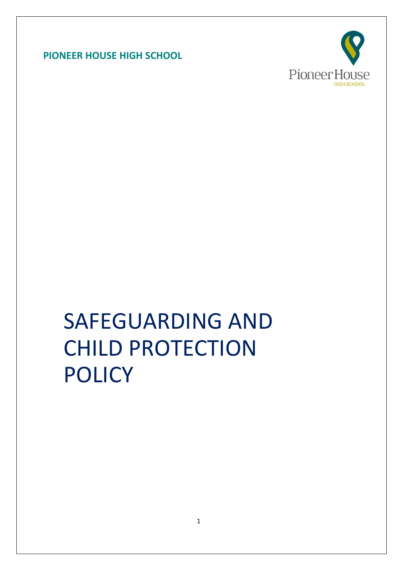**PIONEER HOUSE HIGH SCHOOL** 



# SAFEGUARDING AND CHILD PROTECTION POLICY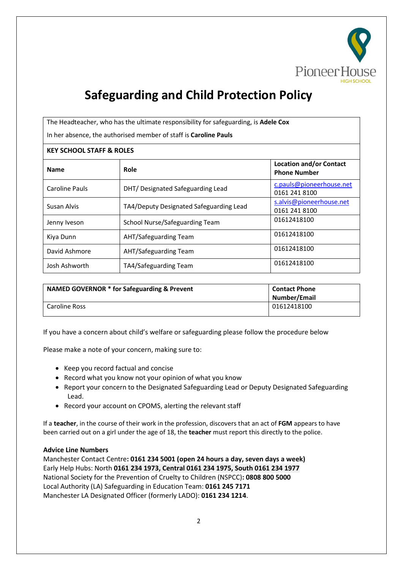

## **Safeguarding and Child Protection Policy**

|                                                                  | The Headteacher, who has the ultimate responsibility for safeguarding, is Adele Cox |                                                       |  |  |  |
|------------------------------------------------------------------|-------------------------------------------------------------------------------------|-------------------------------------------------------|--|--|--|
| In her absence, the authorised member of staff is Caroline Pauls |                                                                                     |                                                       |  |  |  |
| <b>KEY SCHOOL STAFF &amp; ROLES</b>                              |                                                                                     |                                                       |  |  |  |
| <b>Name</b>                                                      | <b>Role</b>                                                                         | <b>Location and/or Contact</b><br><b>Phone Number</b> |  |  |  |
| Caroline Pauls                                                   | DHT/ Designated Safeguarding Lead                                                   | c.pauls@pioneerhouse.net<br>0161 241 8100             |  |  |  |
| Susan Alvis                                                      | TA4/Deputy Designated Safeguarding Lead                                             | s.alvis@pioneerhouse.net<br>0161 241 8100             |  |  |  |
| Jenny Iveson                                                     | School Nurse/Safeguarding Team                                                      | 01612418100                                           |  |  |  |
| Kiya Dunn                                                        | AHT/Safeguarding Team                                                               | 01612418100                                           |  |  |  |
| David Ashmore                                                    | AHT/Safeguarding Team                                                               | 01612418100                                           |  |  |  |
| Josh Ashworth                                                    | TA4/Safeguarding Team                                                               | 01612418100                                           |  |  |  |

| NAMED GOVERNOR * for Safeguarding & Prevent | <b>Contact Phone</b><br>Number/Email |
|---------------------------------------------|--------------------------------------|
| Caroline Ross                               | 01612418100                          |

If you have a concern about child's welfare or safeguarding please follow the procedure below

Please make a note of your concern, making sure to:

- Keep you record factual and concise
- Record what you know not your opinion of what you know
- Report your concern to the Designated Safeguarding Lead or Deputy Designated Safeguarding Lead.
- Record your account on CPOMS, alerting the relevant staff

If a **teacher**, in the course of their work in the profession, discovers that an act of **FGM** appears to have been carried out on a girl under the age of 18, the **teacher** must report this directly to the police.

#### **Advice Line Numbers**

Manchester Contact Centre**: 0161 234 5001 (open 24 hours a day, seven days a week)** Early Help Hubs: North **0161 234 1973, Central 0161 234 1975, South 0161 234 1977** National Society for the Prevention of Cruelty to Children (NSPCC)**: 0808 800 5000** Local Authority (LA) Safeguarding in Education Team: **0161 245 7171** Manchester LA Designated Officer (formerly LADO): **0161 234 1214**.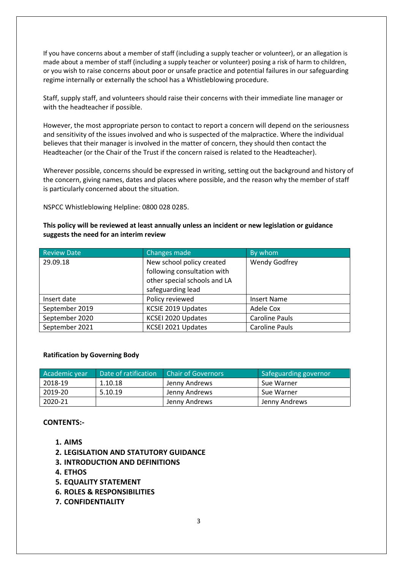If you have concerns about a member of staff (including a supply teacher or volunteer), or an allegation is made about a member of staff (including a supply teacher or volunteer) posing a risk of harm to children, or you wish to raise concerns about poor or unsafe practice and potential failures in our safeguarding regime internally or externally the school has a Whistleblowing procedure.

Staff, supply staff, and volunteers should raise their concerns with their immediate line manager or with the headteacher if possible.

However, the most appropriate person to contact to report a concern will depend on the seriousness and sensitivity of the issues involved and who is suspected of the malpractice. Where the individual believes that their manager is involved in the matter of concern, they should then contact the Headteacher (or the Chair of the Trust if the concern raised is related to the Headteacher).

Wherever possible, concerns should be expressed in writing, setting out the background and history of the concern, giving names, dates and places where possible, and the reason why the member of staff is particularly concerned about the situation.

NSPCC Whistleblowing Helpline: 0800 028 0285.

**This policy will be reviewed at least annually unless an incident or new legislation or guidance suggests the need for an interim review**

| <b>Review Date</b> | Changes made                 | By whom               |
|--------------------|------------------------------|-----------------------|
| 29.09.18           | New school policy created    | <b>Wendy Godfrey</b>  |
|                    | following consultation with  |                       |
|                    | other special schools and LA |                       |
|                    | safeguarding lead            |                       |
| Insert date        | Policy reviewed              | <b>Insert Name</b>    |
| September 2019     | KCSIE 2019 Updates           | Adele Cox             |
| September 2020     | KCSEI 2020 Updates           | <b>Caroline Pauls</b> |
| September 2021     | KCSEI 2021 Updates           | <b>Caroline Pauls</b> |

#### **Ratification by Governing Body**

| Academic year | Date of ratification | <b>Chair of Governors</b> | Safeguarding governor |
|---------------|----------------------|---------------------------|-----------------------|
| 2018-19       | 1.10.18              | Jenny Andrews             | Sue Warner            |
| 2019-20       | 5.10.19              | Jenny Andrews             | Sue Warner            |
| 2020-21       |                      | Jenny Andrews             | Jenny Andrews         |

#### **CONTENTS:-**

- **1. AIMS**
- **2. LEGISLATION AND STATUTORY GUIDANCE**
- **3. INTRODUCTION AND DEFINITIONS**
- **4. ETHOS**
- **5. EQUALITY STATEMENT**
- **6. ROLES & RESPONSIBILITIES**
- **7. CONFIDENTIALITY**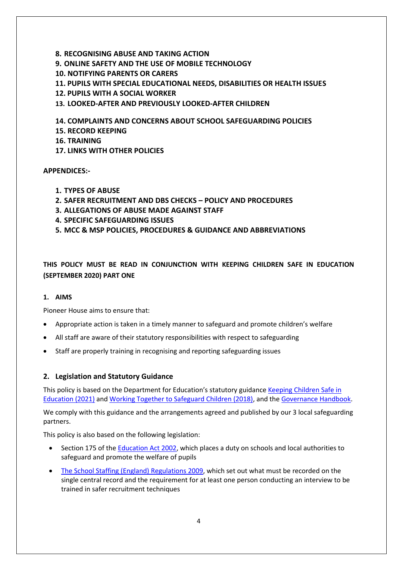- **8. RECOGNISING ABUSE AND TAKING ACTION**
- **9. ONLINE SAFETY AND THE USE OF MOBILE TECHNOLOGY**
- **10. NOTIFYING PARENTS OR CARERS**
- **11. PUPILS WITH SPECIAL EDUCATIONAL NEEDS, DISABILITIES OR HEALTH ISSUES**
- **12. PUPILS WITH A SOCIAL WORKER**
- **13. LOOKED-AFTER AND PREVIOUSLY LOOKED-AFTER CHILDREN**
- **14. COMPLAINTS AND CONCERNS ABOUT SCHOOL SAFEGUARDING POLICIES**
- **15. RECORD KEEPING**
- **16. TRAINING**
- **17. LINKS WITH OTHER POLICIES**

**APPENDICES:-**

- **1. TYPES OF ABUSE**
- **2. SAFER RECRUITMENT AND DBS CHECKS – POLICY AND PROCEDURES**
- **3. ALLEGATIONS OF ABUSE MADE AGAINST STAFF**
- **4. SPECIFIC SAFEGUARDING ISSUES**
- **5. MCC & MSP POLICIES, PROCEDURES & GUIDANCE AND ABBREVIATIONS**

**THIS POLICY MUST BE READ IN CONJUNCTION WITH KEEPING CHILDREN SAFE IN EDUCATION (SEPTEMBER 2020) PART ONE**

## **1. AIMS**

Pioneer House aims to ensure that:

- Appropriate action is taken in a timely manner to safeguard and promote children's welfare
- All staff are aware of their statutory responsibilities with respect to safeguarding
- Staff are properly training in recognising and reporting safeguarding issues

## **2. Legislation and Statutory Guidance**

This policy is based on the Department for Education's statutory guidance [Keeping Children Safe in](https://www.gov.uk/government/publications/keeping-children-safe-in-education--2)  [Education \(2021\)](https://www.gov.uk/government/publications/keeping-children-safe-in-education--2) an[d Working Together to Safeguard Children \(2018\),](https://www.gov.uk/government/publications/working-together-to-safeguard-children--2) and th[e Governance Handbook.](https://www.gov.uk/government/publications/governance-handbook)

We comply with this guidance and the arrangements agreed and published by our 3 local safeguarding partners.

This policy is also based on the following legislation:

- Section 175 of the **Education Act 2002**, which places a duty on schools and local authorities to safeguard and promote the welfare of pupils
- [The School Staffing \(England\) Regulations 2009,](http://www.legislation.gov.uk/uksi/2009/2680/contents/made) which set out what must be recorded on the single central record and the requirement for at least one person conducting an interview to be trained in safer recruitment techniques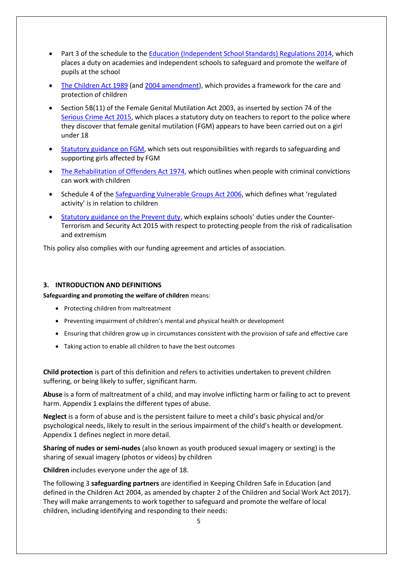- Part 3 of the schedule to the [Education \(Independent School Standards\) Regulations 2014,](http://www.legislation.gov.uk/uksi/2014/3283/schedule/part/3/made) which places a duty on academies and independent schools to safeguard and promote the welfare of pupils at the school
- [The Children Act 1989](http://www.legislation.gov.uk/ukpga/1989/41) (and [2004 amendment\)](http://www.legislation.gov.uk/ukpga/2004/31/contents), which provides a framework for the care and protection of children
- Section 5B(11) of the Female Genital Mutilation Act 2003, as inserted by section 74 of the [Serious Crime Act 2015,](http://www.legislation.gov.uk/ukpga/2015/9/part/5/crossheading/female-genital-mutilation) which places a statutory duty on teachers to report to the police where they discover that female genital mutilation (FGM) appears to have been carried out on a girl under 18
- [Statutory guidance on FGM,](https://www.gov.uk/government/publications/multi-agency-statutory-guidance-on-female-genital-mutilation) which sets out responsibilities with regards to safeguarding and supporting girls affected by FGM
- [The Rehabilitation of Offenders Act 1974,](http://www.legislation.gov.uk/ukpga/1974/53) which outlines when people with criminal convictions can work with children
- Schedule 4 of th[e Safeguarding Vulnerable Groups](http://www.legislation.gov.uk/ukpga/2006/47/schedule/4) Act 2006, which defines what 'regulated activity' is in relation to children
- [Statutory guidance on the Prevent duty](https://www.gov.uk/government/publications/prevent-duty-guidance), which explains schools' duties under the Counter-Terrorism and Security Act 2015 with respect to protecting people from the risk of radicalisation and extremism

This policy also complies with our funding agreement and articles of association.

#### **3. INTRODUCTION AND DEFINITIONS**

**Safeguarding and promoting the welfare of children** means:

- Protecting children from maltreatment
- Preventing impairment of children's mental and physical health or development
- Ensuring that children grow up in circumstances consistent with the provision of safe and effective care
- Taking action to enable all children to have the best outcomes

**Child protection** is part of this definition and refers to activities undertaken to prevent children suffering, or being likely to suffer, significant harm.

**Abuse** is a form of maltreatment of a child, and may involve inflicting harm or failing to act to prevent harm. Appendix 1 explains the different types of abuse.

**Neglect** is a form of abuse and is the persistent failure to meet a child's basic physical and/or psychological needs, likely to result in the serious impairment of the child's health or development. Appendix 1 defines neglect in more detail.

**Sharing of nudes or semi-nudes** (also known as youth produced sexual imagery or sexting) is the sharing of sexual imagery (photos or videos) by children

**Children** includes everyone under the age of 18.

The following 3 **safeguarding partners** are identified in Keeping Children Safe in Education (and defined in the Children Act 2004, as amended by chapter 2 of the Children and Social Work Act 2017). They will make arrangements to work together to safeguard and promote the welfare of local children, including identifying and responding to their needs: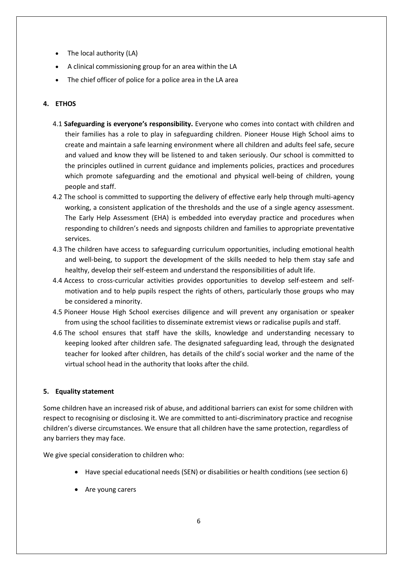- The local authority (LA)
- A clinical commissioning group for an area within the LA
- The chief officer of police for a police area in the LA area

## **4. ETHOS**

- 4.1 **Safeguarding is everyone's responsibility.** Everyone who comes into contact with children and their families has a role to play in safeguarding children. Pioneer House High School aims to create and maintain a safe learning environment where all children and adults feel safe, secure and valued and know they will be listened to and taken seriously. Our school is committed to the principles outlined in current guidance and implements policies, practices and procedures which promote safeguarding and the emotional and physical well-being of children, young people and staff.
- 4.2 The school is committed to supporting the delivery of effective early help through multi-agency working, a consistent application of the thresholds and the use of a single agency assessment. The Early Help Assessment (EHA) is embedded into everyday practice and procedures when responding to children's needs and signposts children and families to appropriate preventative services.
- 4.3 The children have access to safeguarding curriculum opportunities, including emotional health and well-being, to support the development of the skills needed to help them stay safe and healthy, develop their self-esteem and understand the responsibilities of adult life.
- 4.4 Access to cross-curricular activities provides opportunities to develop self-esteem and selfmotivation and to help pupils respect the rights of others, particularly those groups who may be considered a minority.
- 4.5 Pioneer House High School exercises diligence and will prevent any organisation or speaker from using the school facilities to disseminate extremist views or radicalise pupils and staff.
- 4.6 The school ensures that staff have the skills, knowledge and understanding necessary to keeping looked after children safe. The designated safeguarding lead, through the designated teacher for looked after children, has details of the child's social worker and the name of the virtual school head in the authority that looks after the child.

#### **5. Equality statement**

Some children have an increased risk of abuse, and additional barriers can exist for some children with respect to recognising or disclosing it. We are committed to anti-discriminatory practice and recognise children's diverse circumstances. We ensure that all children have the same protection, regardless of any barriers they may face.

We give special consideration to children who:

- Have special educational needs (SEN) or disabilities or health conditions (see section 6)
- Are young carers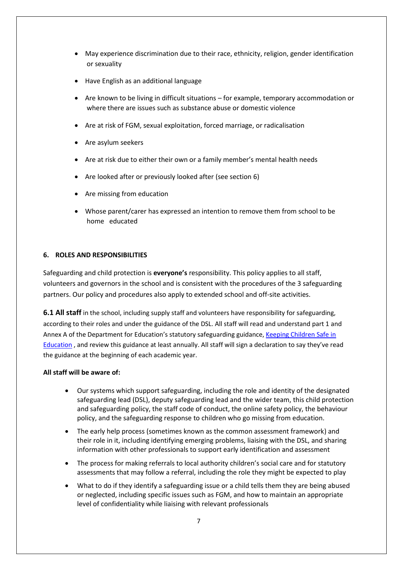- May experience discrimination due to their race, ethnicity, religion, gender identification or sexuality
- Have English as an additional language
- Are known to be living in difficult situations for example, temporary accommodation or where there are issues such as substance abuse or domestic violence
- Are at risk of FGM, sexual exploitation, forced marriage, or radicalisation
- Are asylum seekers
- Are at risk due to either their own or a family member's mental health needs
- Are looked after or previously looked after (see section 6)
- Are missing from education
- Whose parent/carer has expressed an intention to remove them from school to be home educated

#### **6. ROLES AND RESPONSIBILITIES**

Safeguarding and child protection is **everyone's** responsibility. This policy applies to all staff, volunteers and governors in the school and is consistent with the procedures of the 3 safeguarding partners. Our policy and procedures also apply to extended school and off-site activities.

**6.1 All staff** in the school, including supply staff and volunteers have responsibility for safeguarding, according to their roles and under the guidance of the DSL. All staff will read and understand part 1 and Annex A of the Department for Education's statutory safeguarding guidance, [Keeping Children Safe in](https://www.gov.uk/government/publications/keeping-children-safe-in-education--2)  [Education](https://www.gov.uk/government/publications/keeping-children-safe-in-education--2) , and review this guidance at least annually. All staff will sign a declaration to say they've read the guidance at the beginning of each academic year.

#### **All staff will be aware of:**

- Our systems which support safeguarding, including the role and identity of the designated safeguarding lead (DSL), deputy safeguarding lead and the wider team, this child protection and safeguarding policy, the staff code of conduct, the online safety policy, the behaviour policy, and the safeguarding response to children who go missing from education.
- The early help process (sometimes known as the common assessment framework) and their role in it, including identifying emerging problems, liaising with the DSL, and sharing information with other professionals to support early identification and assessment
- The process for making referrals to local authority children's social care and for statutory assessments that may follow a referral, including the role they might be expected to play
- What to do if they identify a safeguarding issue or a child tells them they are being abused or neglected, including specific issues such as FGM, and how to maintain an appropriate level of confidentiality while liaising with relevant professionals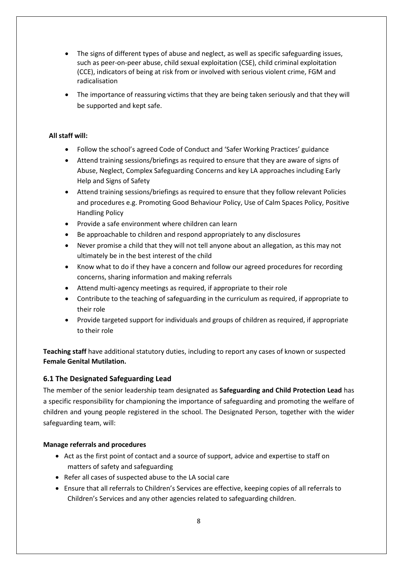- The signs of different types of abuse and neglect, as well as specific safeguarding issues, such as peer-on-peer abuse, child sexual exploitation (CSE), child criminal exploitation (CCE), indicators of being at risk from or involved with serious violent crime, FGM and radicalisation
- The importance of reassuring victims that they are being taken seriously and that they will be supported and kept safe.

## **All staff will:**

- Follow the school's agreed Code of Conduct and 'Safer Working Practices' guidance
- Attend training sessions/briefings as required to ensure that they are aware of signs of Abuse, Neglect, Complex Safeguarding Concerns and key LA approaches including Early Help and Signs of Safety
- Attend training sessions/briefings as required to ensure that they follow relevant Policies and procedures e.g. Promoting Good Behaviour Policy, Use of Calm Spaces Policy, Positive Handling Policy
- Provide a safe environment where children can learn
- Be approachable to children and respond appropriately to any disclosures
- Never promise a child that they will not tell anyone about an allegation, as this may not ultimately be in the best interest of the child
- Know what to do if they have a concern and follow our agreed procedures for recording concerns, sharing information and making referrals
- Attend multi-agency meetings as required, if appropriate to their role
- Contribute to the teaching of safeguarding in the curriculum as required, if appropriate to their role
- Provide targeted support for individuals and groups of children as required, if appropriate to their role

**Teaching staff** have additional statutory duties, including to report any cases of known or suspected **Female Genital Mutilation.**

## **6.1 The Designated Safeguarding Lead**

The member of the senior leadership team designated as **Safeguarding and Child Protection Lead** has a specific responsibility for championing the importance of safeguarding and promoting the welfare of children and young people registered in the school. The Designated Person, together with the wider safeguarding team, will:

## **Manage referrals and procedures**

- Act as the first point of contact and a source of support, advice and expertise to staff on matters of safety and safeguarding
- Refer all cases of suspected abuse to the LA social care
- Ensure that all referrals to Children's Services are effective, keeping copies of all referrals to Children's Services and any other agencies related to safeguarding children.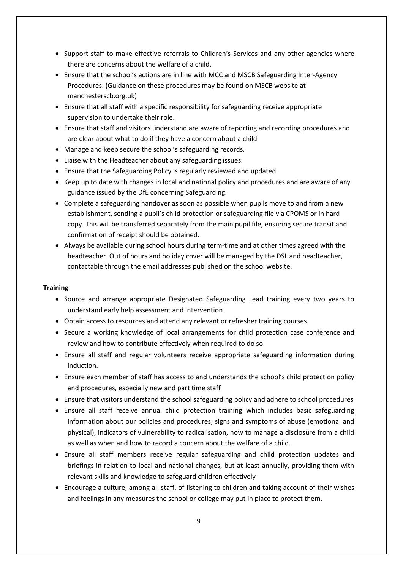- Support staff to make effective referrals to Children's Services and any other agencies where there are concerns about the welfare of a child.
- Ensure that the school's actions are in line with MCC and MSCB Safeguarding Inter-Agency Procedures. (Guidance on these procedures may be found on MSCB website at manchesterscb.org.uk)
- Ensure that all staff with a specific responsibility for safeguarding receive appropriate supervision to undertake their role.
- Ensure that staff and visitors understand are aware of reporting and recording procedures and are clear about what to do if they have a concern about a child
- Manage and keep secure the school's safeguarding records.
- Liaise with the Headteacher about any safeguarding issues.
- Ensure that the Safeguarding Policy is regularly reviewed and updated.
- Keep up to date with changes in local and national policy and procedures and are aware of any guidance issued by the DfE concerning Safeguarding.
- Complete a safeguarding handover as soon as possible when pupils move to and from a new establishment, sending a pupil's child protection or safeguarding file via CPOMS or in hard copy. This will be transferred separately from the main pupil file, ensuring secure transit and confirmation of receipt should be obtained.
- Always be available during school hours during term-time and at other times agreed with the headteacher. Out of hours and holiday cover will be managed by the DSL and headteacher, contactable through the email addresses published on the school website.

#### **Training**

- Source and arrange appropriate Designated Safeguarding Lead training every two years to understand early help assessment and intervention
- Obtain access to resources and attend any relevant or refresher training courses.
- Secure a working knowledge of local arrangements for child protection case conference and review and how to contribute effectively when required to do so.
- Ensure all staff and regular volunteers receive appropriate safeguarding information during induction.
- Ensure each member of staff has access to and understands the school's child protection policy and procedures, especially new and part time staff
- Ensure that visitors understand the school safeguarding policy and adhere to school procedures
- Ensure all staff receive annual child protection training which includes basic safeguarding information about our policies and procedures, signs and symptoms of abuse (emotional and physical), indicators of vulnerability to radicalisation, how to manage a disclosure from a child as well as when and how to record a concern about the welfare of a child.
- Ensure all staff members receive regular safeguarding and child protection updates and briefings in relation to local and national changes, but at least annually, providing them with relevant skills and knowledge to safeguard children effectively
- Encourage a culture, among all staff, of listening to children and taking account of their wishes and feelings in any measures the school or college may put in place to protect them.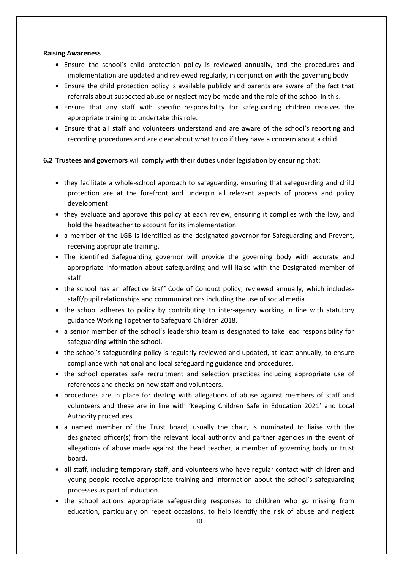#### **Raising Awareness**

- Ensure the school's child protection policy is reviewed annually, and the procedures and implementation are updated and reviewed regularly, in conjunction with the governing body.
- Ensure the child protection policy is available publicly and parents are aware of the fact that referrals about suspected abuse or neglect may be made and the role of the school in this.
- Ensure that any staff with specific responsibility for safeguarding children receives the appropriate training to undertake this role.
- Ensure that all staff and volunteers understand and are aware of the school's reporting and recording procedures and are clear about what to do if they have a concern about a child.

**6.2 Trustees and governors** will comply with their duties under legislation by ensuring that:

- they facilitate a whole-school approach to safeguarding, ensuring that safeguarding and child protection are at the forefront and underpin all relevant aspects of process and policy development
- they evaluate and approve this policy at each review, ensuring it complies with the law, and hold the headteacher to account for its implementation
- a member of the LGB is identified as the designated governor for Safeguarding and Prevent, receiving appropriate training.
- The identified Safeguarding governor will provide the governing body with accurate and appropriate information about safeguarding and will liaise with the Designated member of staff
- the school has an effective Staff Code of Conduct policy, reviewed annually, which includesstaff/pupil relationships and communications including the use of social media.
- the school adheres to policy by contributing to inter-agency working in line with statutory guidance Working Together to Safeguard Children 2018.
- a senior member of the school's leadership team is designated to take lead responsibility for safeguarding within the school.
- the school's safeguarding policy is regularly reviewed and updated, at least annually, to ensure compliance with national and local safeguarding guidance and procedures.
- the school operates safe recruitment and selection practices including appropriate use of references and checks on new staff and volunteers.
- procedures are in place for dealing with allegations of abuse against members of staff and volunteers and these are in line with 'Keeping Children Safe in Education 2021' and Local Authority procedures.
- a named member of the Trust board, usually the chair, is nominated to liaise with the designated officer(s) from the relevant local authority and partner agencies in the event of allegations of abuse made against the head teacher, a member of governing body or trust board.
- all staff, including temporary staff, and volunteers who have regular contact with children and young people receive appropriate training and information about the school's safeguarding processes as part of induction.
- the school actions appropriate safeguarding responses to children who go missing from education, particularly on repeat occasions, to help identify the risk of abuse and neglect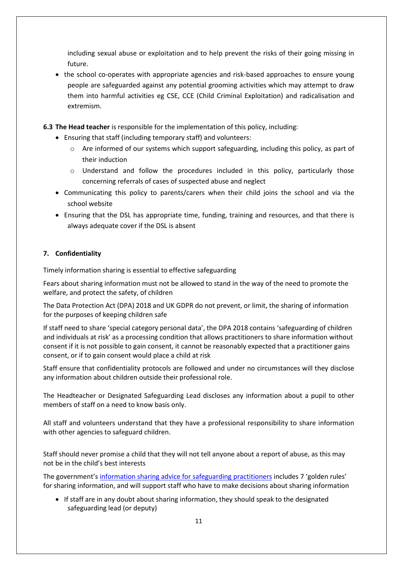including sexual abuse or exploitation and to help prevent the risks of their going missing in future.

- the school co-operates with appropriate agencies and risk-based approaches to ensure young people are safeguarded against any potential grooming activities which may attempt to draw them into harmful activities eg CSE, CCE (Child Criminal Exploitation) and radicalisation and extremism.
- **6.3 The Head teacher** is responsible for the implementation of this policy, including:
	- Ensuring that staff (including temporary staff) and volunteers:
		- o Are informed of our systems which support safeguarding, including this policy, as part of their induction
		- o Understand and follow the procedures included in this policy, particularly those concerning referrals of cases of suspected abuse and neglect
	- Communicating this policy to parents/carers when their child joins the school and via the school website
	- Ensuring that the DSL has appropriate time, funding, training and resources, and that there is always adequate cover if the DSL is absent

## **7. Confidentiality**

Timely information sharing is essential to effective safeguarding

Fears about sharing information must not be allowed to stand in the way of the need to promote the welfare, and protect the safety, of children

The Data Protection Act (DPA) 2018 and UK GDPR do not prevent, or limit, the sharing of information for the purposes of keeping children safe

If staff need to share 'special category personal data', the DPA 2018 contains 'safeguarding of children and individuals at risk' as a processing condition that allows practitioners to share information without consent if it is not possible to gain consent, it cannot be reasonably expected that a practitioner gains consent, or if to gain consent would place a child at risk

Staff ensure that confidentiality protocols are followed and under no circumstances will they disclose any information about children outside their professional role.

The Headteacher or Designated Safeguarding Lead discloses any information about a pupil to other members of staff on a need to know basis only.

All staff and volunteers understand that they have a professional responsibility to share information with other agencies to safeguard children.

Staff should never promise a child that they will not tell anyone about a report of abuse, as this may not be in the child's best interests

The government's [information sharing advice for safeguarding practitioners](https://www.gov.uk/government/publications/safeguarding-practitioners-information-sharing-advice) includes 7 'golden rules' for sharing information, and will support staff who have to make decisions about sharing information

• If staff are in any doubt about sharing information, they should speak to the designated safeguarding lead (or deputy)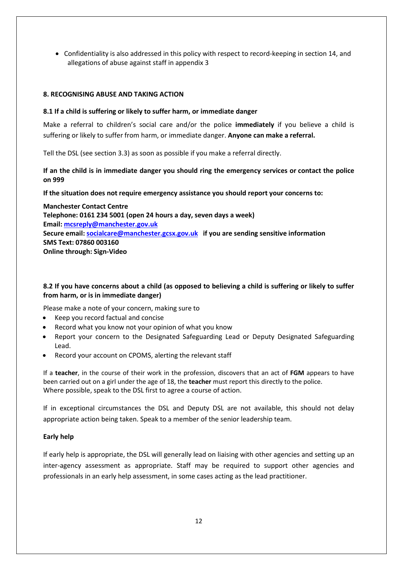• Confidentiality is also addressed in this policy with respect to record-keeping in section 14, and allegations of abuse against staff in appendix 3

#### **8. RECOGNISING ABUSE AND TAKING ACTION**

#### **8.1 If a child is suffering or likely to suffer harm, or immediate danger**

Make a referral to children's social care and/or the police **immediately** if you believe a child is suffering or likely to suffer from harm, or immediate danger. **Anyone can make a referral.**

Tell the DSL (see section 3.3) as soon as possible if you make a referral directly.

#### **If an the child is in immediate danger you should ring the emergency services or contact the police on 999**

**If the situation does not require emergency assistance you should report your concerns to:**

**Manchester Contact Centre Telephone: 0161 234 5001 (open 24 hours a day, seven days a week) Email: [mcsreply@manchester.gov.uk](mailto:mcsreply@manchester.gov.uk) Secure email: [socialcare@manchester.gcsx.gov.uk](mailto:socialcare@manchester.gcsx.gov.uk) if you are sending sensitive information SMS Text: 07860 003160 Online through: Sign-Video**

## **8.2 If you have concerns about a child (as opposed to believing a child is suffering or likely to suffer from harm, or is in immediate danger)**

Please make a note of your concern, making sure to

- Keep you record factual and concise
- Record what you know not your opinion of what you know
- Report your concern to the Designated Safeguarding Lead or Deputy Designated Safeguarding Lead.
- Record your account on CPOMS, alerting the relevant staff

If a **teacher**, in the course of their work in the profession, discovers that an act of **FGM** appears to have been carried out on a girl under the age of 18, the **teacher** must report this directly to the police. Where possible, speak to the DSL first to agree a course of action.

If in exceptional circumstances the DSL and Deputy DSL are not available, this should not delay appropriate action being taken. Speak to a member of the senior leadership team.

#### **Early help**

If early help is appropriate, the DSL will generally lead on liaising with other agencies and setting up an inter-agency assessment as appropriate. Staff may be required to support other agencies and professionals in an early help assessment, in some cases acting as the lead practitioner.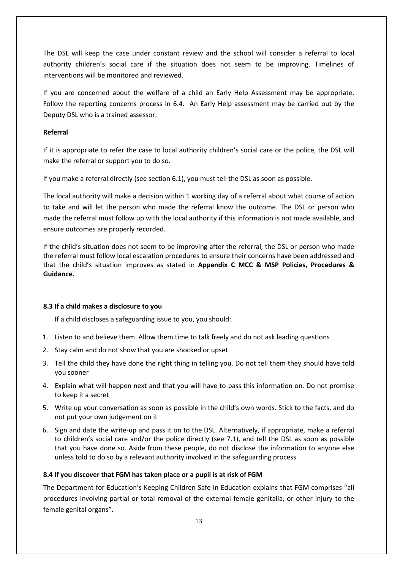The DSL will keep the case under constant review and the school will consider a referral to local authority children's social care if the situation does not seem to be improving. Timelines of interventions will be monitored and reviewed.

If you are concerned about the welfare of a child an Early Help Assessment may be appropriate. Follow the reporting concerns process in 6.4. An Early Help assessment may be carried out by the Deputy DSL who is a trained assessor.

#### **Referral**

If it is appropriate to refer the case to local authority children's social care or the police, the DSL will make the referral or support you to do so.

If you make a referral directly (see section 6.1), you must tell the DSL as soon as possible.

The local authority will make a decision within 1 working day of a referral about what course of action to take and will let the person who made the referral know the outcome. The DSL or person who made the referral must follow up with the local authority if this information is not made available, and ensure outcomes are properly recorded.

If the child's situation does not seem to be improving after the referral, the DSL or person who made the referral must follow local escalation procedures to ensure their concerns have been addressed and that the child's situation improves as stated in **Appendix C MCC & MSP Policies, Procedures & Guidance.**

#### **8.3 If a child makes a disclosure to you**

If a child discloses a safeguarding issue to you, you should:

- 1. Listen to and believe them. Allow them time to talk freely and do not ask leading questions
- 2. Stay calm and do not show that you are shocked or upset
- 3. Tell the child they have done the right thing in telling you. Do not tell them they should have told you sooner
- 4. Explain what will happen next and that you will have to pass this information on. Do not promise to keep it a secret
- 5. Write up your conversation as soon as possible in the child's own words. Stick to the facts, and do not put your own judgement on it
- 6. Sign and date the write-up and pass it on to the DSL. Alternatively, if appropriate, make a referral to children's social care and/or the police directly (see 7.1), and tell the DSL as soon as possible that you have done so. Aside from these people, do not disclose the information to anyone else unless told to do so by a relevant authority involved in the safeguarding process

#### **8.4 If you discover that FGM has taken place or a pupil is at risk of FGM**

The Department for Education's Keeping Children Safe in Education explains that FGM comprises "all procedures involving partial or total removal of the external female genitalia, or other injury to the female genital organs".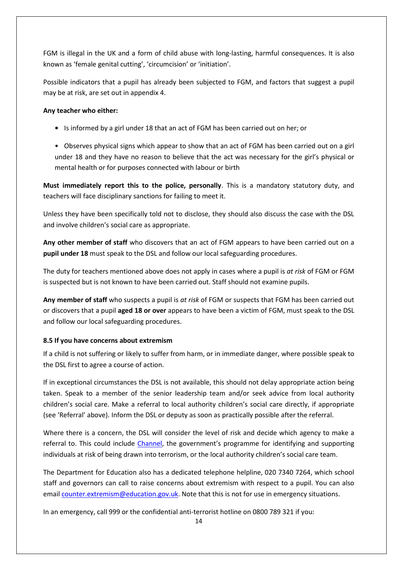FGM is illegal in the UK and a form of child abuse with long-lasting, harmful consequences. It is also known as 'female genital cutting', 'circumcision' or 'initiation'.

Possible indicators that a pupil has already been subjected to FGM, and factors that suggest a pupil may be at risk, are set out in appendix 4.

#### **Any teacher who either:**

**•** Is informed by a girl under 18 that an act of FGM has been carried out on her; or

• Observes physical signs which appear to show that an act of FGM has been carried out on a girl under 18 and they have no reason to believe that the act was necessary for the girl's physical or mental health or for purposes connected with labour or birth

**Must immediately report this to the police, personally**. This is a mandatory statutory duty, and teachers will face disciplinary sanctions for failing to meet it.

Unless they have been specifically told not to disclose, they should also discuss the case with the DSL and involve children's social care as appropriate.

**Any other member of staff** who discovers that an act of FGM appears to have been carried out on a **pupil under 18** must speak to the DSL and follow our local safeguarding procedures.

The duty for teachers mentioned above does not apply in cases where a pupil is *at risk* of FGM or FGM is suspected but is not known to have been carried out. Staff should not examine pupils.

**Any member of staff** who suspects a pupil is *at risk* of FGM or suspects that FGM has been carried out or discovers that a pupil **aged 18 or over** appears to have been a victim of FGM, must speak to the DSL and follow our local safeguarding procedures.

## **8.5 If you have concerns about extremism**

If a child is not suffering or likely to suffer from harm, or in immediate danger, where possible speak to the DSL first to agree a course of action.

If in exceptional circumstances the DSL is not available, this should not delay appropriate action being taken. Speak to a member of the senior leadership team and/or seek advice from local authority children's social care. Make a referral to local authority children's social care directly, if appropriate (see 'Referral' above). Inform the DSL or deputy as soon as practically possible after the referral.

Where there is a concern, the DSL will consider the level of risk and decide which agency to make a referral to. This could include [Channel](https://www.gov.uk/government/publications/channel-guidance), the government's programme for identifying and supporting individuals at risk of being drawn into terrorism, or the local authority children's social care team.

The Department for Education also has a dedicated telephone helpline, 020 7340 7264, which school staff and governors can call to raise concerns about extremism with respect to a pupil. You can also email [counter.extremism@education.gov.uk.](mailto:counter.extremism@education.gov.uk) Note that this is not for use in emergency situations.

In an emergency, call 999 or the confidential anti-terrorist hotline on 0800 789 321 if you: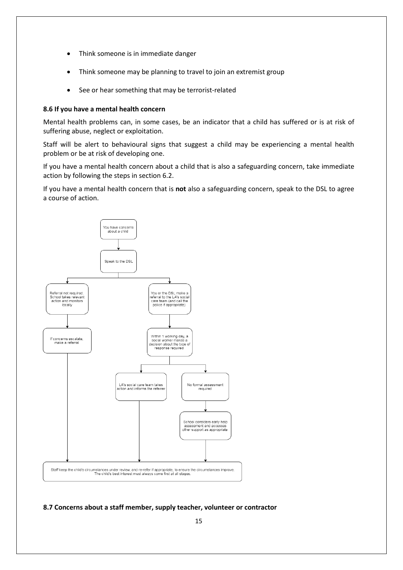- Think someone is in immediate danger
- Think someone may be planning to travel to join an extremist group
- See or hear something that may be terrorist-related

#### **8.6 If you have a mental health concern**

Mental health problems can, in some cases, be an indicator that a child has suffered or is at risk of suffering abuse, neglect or exploitation.

Staff will be alert to behavioural signs that suggest a child may be experiencing a mental health problem or be at risk of developing one.

If you have a mental health concern about a child that is also a safeguarding concern, take immediate action by following the steps in section 6.2.

If you have a mental health concern that is **not** also a safeguarding concern, speak to the DSL to agree a course of action.



## **8.7 Concerns about a staff member, supply teacher, volunteer or contractor**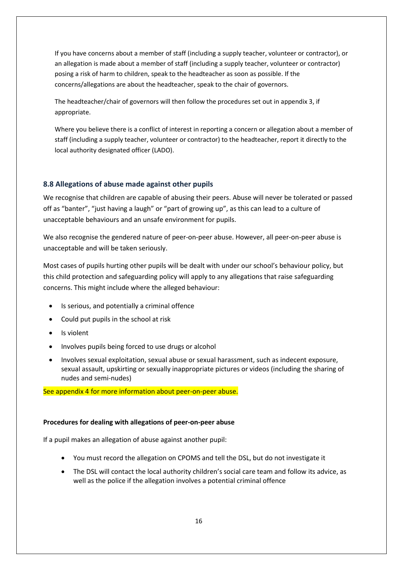If you have concerns about a member of staff (including a supply teacher, volunteer or contractor), or an allegation is made about a member of staff (including a supply teacher, volunteer or contractor) posing a risk of harm to children, speak to the headteacher as soon as possible. If the concerns/allegations are about the headteacher, speak to the chair of governors.

The headteacher/chair of governors will then follow the procedures set out in appendix 3, if appropriate.

Where you believe there is a conflict of interest in reporting a concern or allegation about a member of staff (including a supply teacher, volunteer or contractor) to the headteacher, report it directly to the local authority designated officer (LADO).

## **8.8 Allegations of abuse made against other pupils**

We recognise that children are capable of abusing their peers. Abuse will never be tolerated or passed off as "banter", "just having a laugh" or "part of growing up", as this can lead to a culture of unacceptable behaviours and an unsafe environment for pupils.

We also recognise the gendered nature of peer-on-peer abuse. However, all peer-on-peer abuse is unacceptable and will be taken seriously.

Most cases of pupils hurting other pupils will be dealt with under our school's behaviour policy, but this child protection and safeguarding policy will apply to any allegations that raise safeguarding concerns. This might include where the alleged behaviour:

- Is serious, and potentially a criminal offence
- Could put pupils in the school at risk
- Is violent
- Involves pupils being forced to use drugs or alcohol
- Involves sexual exploitation, sexual abuse or sexual harassment, such as indecent exposure, sexual assault, upskirting or sexually inappropriate pictures or videos (including the sharing of nudes and semi-nudes)

See appendix 4 for more information about peer-on-peer abuse.

#### **Procedures for dealing with allegations of peer-on-peer abuse**

If a pupil makes an allegation of abuse against another pupil:

- You must record the allegation on CPOMS and tell the DSL, but do not investigate it
- The DSL will contact the local authority children's social care team and follow its advice, as well as the police if the allegation involves a potential criminal offence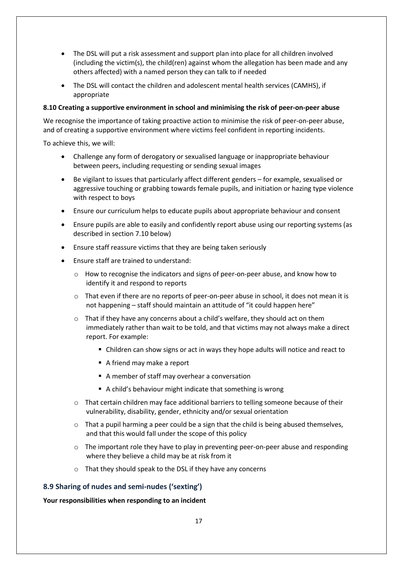- The DSL will put a risk assessment and support plan into place for all children involved (including the victim(s), the child(ren) against whom the allegation has been made and any others affected) with a named person they can talk to if needed
- The DSL will contact the children and adolescent mental health services (CAMHS), if appropriate

#### **8.10 Creating a supportive environment in school and minimising the risk of peer-on-peer abuse**

We recognise the importance of taking proactive action to minimise the risk of peer-on-peer abuse, and of creating a supportive environment where victims feel confident in reporting incidents.

To achieve this, we will:

- Challenge any form of derogatory or sexualised language or inappropriate behaviour between peers, including requesting or sending sexual images
- Be vigilant to issues that particularly affect different genders for example, sexualised or aggressive touching or grabbing towards female pupils, and initiation or hazing type violence with respect to boys
- Ensure our curriculum helps to educate pupils about appropriate behaviour and consent
- Ensure pupils are able to easily and confidently report abuse using our reporting systems (as described in section 7.10 below)
- Ensure staff reassure victims that they are being taken seriously
- Ensure staff are trained to understand:
	- o How to recognise the indicators and signs of peer-on-peer abuse, and know how to identify it and respond to reports
	- $\circ$  That even if there are no reports of peer-on-peer abuse in school, it does not mean it is not happening – staff should maintain an attitude of "it could happen here"
	- o That if they have any concerns about a child's welfare, they should act on them immediately rather than wait to be told, and that victims may not always make a direct report. For example:
		- Children can show signs or act in ways they hope adults will notice and react to
		- A friend may make a report
		- A member of staff may overhear a conversation
		- A child's behaviour might indicate that something is wrong
	- o That certain children may face additional barriers to telling someone because of their vulnerability, disability, gender, ethnicity and/or sexual orientation
	- $\circ$  That a pupil harming a peer could be a sign that the child is being abused themselves, and that this would fall under the scope of this policy
	- $\circ$  The important role they have to play in preventing peer-on-peer abuse and responding where they believe a child may be at risk from it
	- o That they should speak to the DSL if they have any concerns

#### **8.9 Sharing of nudes and semi-nudes ('sexting')**

#### **Your responsibilities when responding to an incident**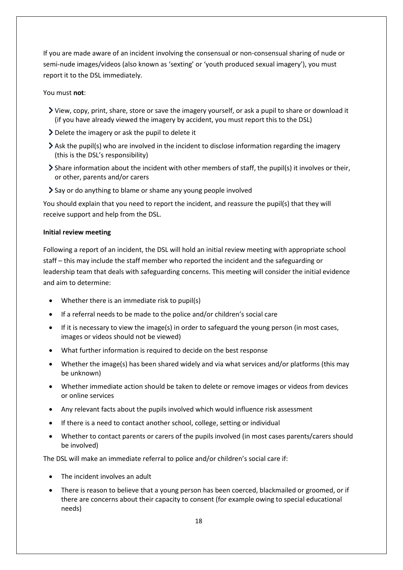If you are made aware of an incident involving the consensual or non-consensual sharing of nude or semi-nude images/videos (also known as 'sexting' or 'youth produced sexual imagery'), you must report it to the DSL immediately.

You must **not**:

- View, copy, print, share, store or save the imagery yourself, or ask a pupil to share or download it (if you have already viewed the imagery by accident, you must report this to the DSL)
- Delete the imagery or ask the pupil to delete it
- $\geq$  Ask the pupil(s) who are involved in the incident to disclose information regarding the imagery (this is the DSL's responsibility)
- Share information about the incident with other members of staff, the pupil(s) it involves or their, or other, parents and/or carers
- Say or do anything to blame or shame any young people involved

You should explain that you need to report the incident, and reassure the pupil(s) that they will receive support and help from the DSL.

#### **Initial review meeting**

Following a report of an incident, the DSL will hold an initial review meeting with appropriate school staff – this may include the staff member who reported the incident and the safeguarding or leadership team that deals with safeguarding concerns. This meeting will consider the initial evidence and aim to determine:

- Whether there is an immediate risk to pupil(s)
- If a referral needs to be made to the police and/or children's social care
- If it is necessary to view the image(s) in order to safeguard the young person (in most cases, images or videos should not be viewed)
- What further information is required to decide on the best response
- Whether the image(s) has been shared widely and via what services and/or platforms (this may be unknown)
- Whether immediate action should be taken to delete or remove images or videos from devices or online services
- Any relevant facts about the pupils involved which would influence risk assessment
- If there is a need to contact another school, college, setting or individual
- Whether to contact parents or carers of the pupils involved (in most cases parents/carers should be involved)

The DSL will make an immediate referral to police and/or children's social care if:

- The incident involves an adult
- There is reason to believe that a young person has been coerced, blackmailed or groomed, or if there are concerns about their capacity to consent (for example owing to special educational needs)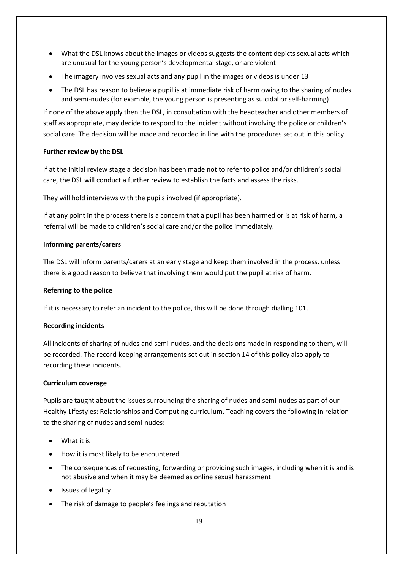- What the DSL knows about the images or videos suggests the content depicts sexual acts which are unusual for the young person's developmental stage, or are violent
- The imagery involves sexual acts and any pupil in the images or videos is under 13
- The DSL has reason to believe a pupil is at immediate risk of harm owing to the sharing of nudes and semi-nudes (for example, the young person is presenting as suicidal or self-harming)

If none of the above apply then the DSL, in consultation with the headteacher and other members of staff as appropriate, may decide to respond to the incident without involving the police or children's social care. The decision will be made and recorded in line with the procedures set out in this policy.

#### **Further review by the DSL**

If at the initial review stage a decision has been made not to refer to police and/or children's social care, the DSL will conduct a further review to establish the facts and assess the risks.

They will hold interviews with the pupils involved (if appropriate).

If at any point in the process there is a concern that a pupil has been harmed or is at risk of harm, a referral will be made to children's social care and/or the police immediately.

#### **Informing parents/carers**

The DSL will inform parents/carers at an early stage and keep them involved in the process, unless there is a good reason to believe that involving them would put the pupil at risk of harm.

#### **Referring to the police**

If it is necessary to refer an incident to the police, this will be done through dialling 101.

## **Recording incidents**

All incidents of sharing of nudes and semi-nudes, and the decisions made in responding to them, will be recorded. The record-keeping arrangements set out in section 14 of this policy also apply to recording these incidents.

#### **Curriculum coverage**

Pupils are taught about the issues surrounding the sharing of nudes and semi-nudes as part of our Healthy Lifestyles: Relationships and Computing curriculum. Teaching covers the following in relation to the sharing of nudes and semi-nudes:

- What it is
- How it is most likely to be encountered
- The consequences of requesting, forwarding or providing such images, including when it is and is not abusive and when it may be deemed as online sexual harassment
- Issues of legality
- The risk of damage to people's feelings and reputation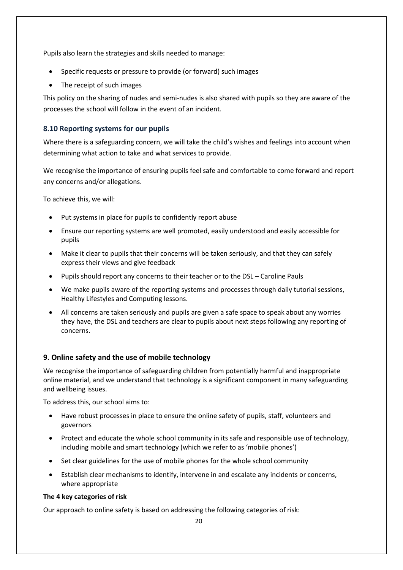Pupils also learn the strategies and skills needed to manage:

- Specific requests or pressure to provide (or forward) such images
- The receipt of such images

This policy on the sharing of nudes and semi-nudes is also shared with pupils so they are aware of the processes the school will follow in the event of an incident.

## **8.10 Reporting systems for our pupils**

Where there is a safeguarding concern, we will take the child's wishes and feelings into account when determining what action to take and what services to provide.

We recognise the importance of ensuring pupils feel safe and comfortable to come forward and report any concerns and/or allegations.

To achieve this, we will:

- Put systems in place for pupils to confidently report abuse
- Ensure our reporting systems are well promoted, easily understood and easily accessible for pupils
- Make it clear to pupils that their concerns will be taken seriously, and that they can safely express their views and give feedback
- Pupils should report any concerns to their teacher or to the DSL Caroline Pauls
- We make pupils aware of the reporting systems and processes through daily tutorial sessions, Healthy Lifestyles and Computing lessons.
- All concerns are taken seriously and pupils are given a safe space to speak about any worries they have, the DSL and teachers are clear to pupils about next steps following any reporting of concerns.

#### **9. Online safety and the use of mobile technology**

We recognise the importance of safeguarding children from potentially harmful and inappropriate online material, and we understand that technology is a significant component in many safeguarding and wellbeing issues.

To address this, our school aims to:

- Have robust processes in place to ensure the online safety of pupils, staff, volunteers and governors
- Protect and educate the whole school community in its safe and responsible use of technology, including mobile and smart technology (which we refer to as 'mobile phones')
- Set clear guidelines for the use of mobile phones for the whole school community
- Establish clear mechanisms to identify, intervene in and escalate any incidents or concerns, where appropriate

#### **The 4 key categories of risk**

Our approach to online safety is based on addressing the following categories of risk: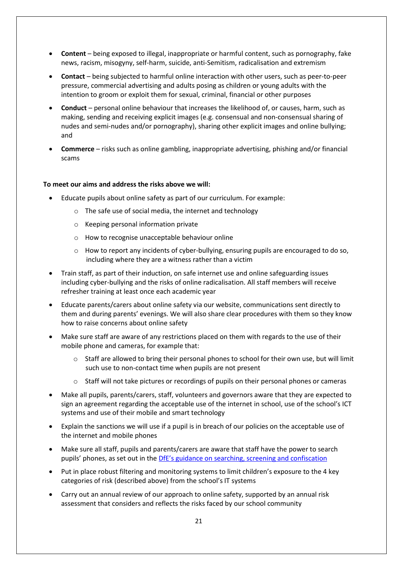- **Content** being exposed to illegal, inappropriate or harmful content, such as pornography, fake news, racism, misogyny, self-harm, suicide, anti-Semitism, radicalisation and extremism
- **Contact** being subjected to harmful online interaction with other users, such as peer-to-peer pressure, commercial advertising and adults posing as children or young adults with the intention to groom or exploit them for sexual, criminal, financial or other purposes
- **Conduct** personal online behaviour that increases the likelihood of, or causes, harm, such as making, sending and receiving explicit images (e.g. consensual and non-consensual sharing of nudes and semi-nudes and/or pornography), sharing other explicit images and online bullying; and
- **Commerce** risks such as online gambling, inappropriate advertising, phishing and/or financial scams

#### **To meet our aims and address the risks above we will:**

- Educate pupils about online safety as part of our curriculum. For example:
	- o The safe use of social media, the internet and technology
	- o Keeping personal information private
	- o How to recognise unacceptable behaviour online
	- $\circ$  How to report any incidents of cyber-bullying, ensuring pupils are encouraged to do so, including where they are a witness rather than a victim
- Train staff, as part of their induction, on safe internet use and online safeguarding issues including cyber-bullying and the risks of online radicalisation. All staff members will receive refresher training at least once each academic year
- Educate parents/carers about online safety via our website, communications sent directly to them and during parents' evenings. We will also share clear procedures with them so they know how to raise concerns about online safety
- Make sure staff are aware of any restrictions placed on them with regards to the use of their mobile phone and cameras, for example that:
	- o Staff are allowed to bring their personal phones to school for their own use, but will limit such use to non-contact time when pupils are not present
	- o Staff will not take pictures or recordings of pupils on their personal phones or cameras
- Make all pupils, parents/carers, staff, volunteers and governors aware that they are expected to sign an agreement regarding the acceptable use of the internet in school, use of the school's ICT systems and use of their mobile and smart technology
- Explain the sanctions we will use if a pupil is in breach of our policies on the acceptable use of the internet and mobile phones
- Make sure all staff, pupils and parents/carers are aware that staff have the power to search pupils' phones, as set out in the [DfE's guidance on searching, screening and confiscation](https://www.gov.uk/government/publications/searching-screening-and-confiscation)
- Put in place robust filtering and monitoring systems to limit children's exposure to the 4 key categories of risk (described above) from the school's IT systems
- Carry out an annual review of our approach to online safety, supported by an annual risk assessment that considers and reflects the risks faced by our school community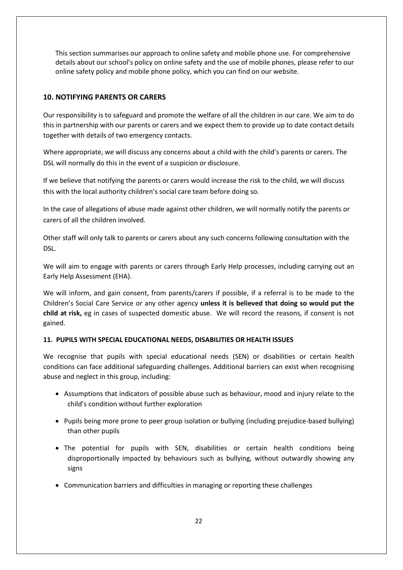This section summarises our approach to online safety and mobile phone use. For comprehensive details about our school's policy on online safety and the use of mobile phones, please refer to our online safety policy and mobile phone policy, which you can find on our website.

## **10. NOTIFYING PARENTS OR CARERS**

Our responsibility is to safeguard and promote the welfare of all the children in our care. We aim to do this in partnership with our parents or carers and we expect them to provide up to date contact details together with details of two emergency contacts.

Where appropriate, we will discuss any concerns about a child with the child's parents or carers. The DSL will normally do this in the event of a suspicion or disclosure.

If we believe that notifying the parents or carers would increase the risk to the child, we will discuss this with the local authority children's social care team before doing so.

In the case of allegations of abuse made against other children, we will normally notify the parents or carers of all the children involved.

Other staff will only talk to parents or carers about any such concerns following consultation with the DSL.

We will aim to engage with parents or carers through Early Help processes, including carrying out an Early Help Assessment (EHA).

We will inform, and gain consent, from parents/carers if possible, if a referral is to be made to the Children's Social Care Service or any other agency **unless it is believed that doing so would put the child at risk,** eg in cases of suspected domestic abuse. We will record the reasons, if consent is not gained.

## **11. PUPILS WITH SPECIAL EDUCATIONAL NEEDS, DISABILITIES OR HEALTH ISSUES**

We recognise that pupils with special educational needs (SEN) or disabilities or certain health conditions can face additional safeguarding challenges. Additional barriers can exist when recognising abuse and neglect in this group, including:

- Assumptions that indicators of possible abuse such as behaviour, mood and injury relate to the child's condition without further exploration
- Pupils being more prone to peer group isolation or bullying (including prejudice-based bullying) than other pupils
- The potential for pupils with SEN, disabilities or certain health conditions being disproportionally impacted by behaviours such as bullying, without outwardly showing any signs
- Communication barriers and difficulties in managing or reporting these challenges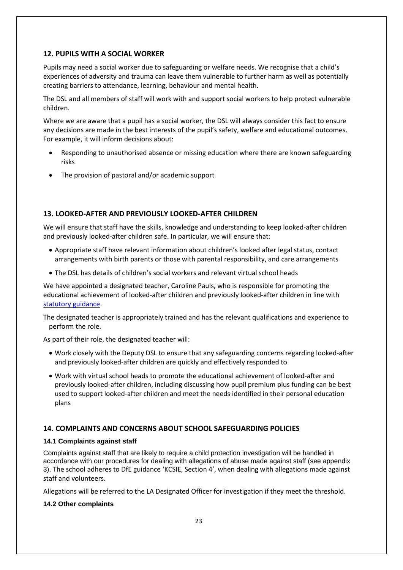## **12. PUPILS WITH A SOCIAL WORKER**

Pupils may need a social worker due to safeguarding or welfare needs. We recognise that a child's experiences of adversity and trauma can leave them vulnerable to further harm as well as potentially creating barriers to attendance, learning, behaviour and mental health.

The DSL and all members of staff will work with and support social workers to help protect vulnerable children.

Where we are aware that a pupil has a social worker, the DSL will always consider this fact to ensure any decisions are made in the best interests of the pupil's safety, welfare and educational outcomes. For example, it will inform decisions about:

- Responding to unauthorised absence or missing education where there are known safeguarding risks
- The provision of pastoral and/or academic support

## **13. LOOKED-AFTER AND PREVIOUSLY LOOKED-AFTER CHILDREN**

We will ensure that staff have the skills, knowledge and understanding to keep looked-after children and previously looked-after children safe. In particular, we will ensure that:

- Appropriate staff have relevant information about children's looked after legal status, contact arrangements with birth parents or those with parental responsibility, and care arrangements
- The DSL has details of children's social workers and relevant virtual school heads

We have appointed a designated teacher, Caroline Pauls, who is responsible for promoting the educational achievement of looked-after children and previously looked-after children in line with [statutory guidance.](https://www.gov.uk/government/publications/designated-teacher-for-looked-after-children)

The designated teacher is appropriately trained and has the relevant qualifications and experience to perform the role.

As part of their role, the designated teacher will:

- Work closely with the Deputy DSL to ensure that any safeguarding concerns regarding looked-after and previously looked-after children are quickly and effectively responded to
- Work with virtual school heads to promote the educational achievement of looked-after and previously looked-after children, including discussing how pupil premium plus funding can be best used to support looked-after children and meet the needs identified in their personal education plans

## **14. COMPLAINTS AND CONCERNS ABOUT SCHOOL SAFEGUARDING POLICIES**

## **14.1 Complaints against staff**

Complaints against staff that are likely to require a child protection investigation will be handled in accordance with our procedures for dealing with allegations of abuse made against staff (see appendix 3). The school adheres to DfE guidance 'KCSIE, Section 4', when dealing with allegations made against staff and volunteers.

Allegations will be referred to the LA Designated Officer for investigation if they meet the threshold.

#### **14.2 Other complaints**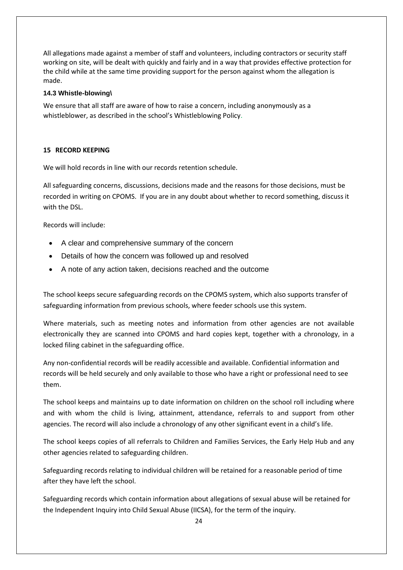All allegations made against a member of staff and volunteers, including contractors or security staff working on site, will be dealt with quickly and fairly and in a way that provides effective protection for the child while at the same time providing support for the person against whom the allegation is made.

#### **14.3 Whistle-blowing\**

We ensure that all staff are aware of how to raise a concern, including anonymously as a whistleblower, as described in the school's Whistleblowing Policy.

## **15 RECORD KEEPING**

We will hold records in line with our records retention schedule.

All safeguarding concerns, discussions, decisions made and the reasons for those decisions, must be recorded in writing on CPOMS. If you are in any doubt about whether to record something, discuss it with the DSL.

Records will include:

- A clear and comprehensive summary of the concern
- Details of how the concern was followed up and resolved
- A note of any action taken, decisions reached and the outcome

The school keeps secure safeguarding records on the CPOMS system, which also supports transfer of safeguarding information from previous schools, where feeder schools use this system.

Where materials, such as meeting notes and information from other agencies are not available electronically they are scanned into CPOMS and hard copies kept, together with a chronology, in a locked filing cabinet in the safeguarding office.

Any non-confidential records will be readily accessible and available. Confidential information and records will be held securely and only available to those who have a right or professional need to see them.

The school keeps and maintains up to date information on children on the school roll including where and with whom the child is living, attainment, attendance, referrals to and support from other agencies. The record will also include a chronology of any other significant event in a child's life.

The school keeps copies of all referrals to Children and Families Services, the Early Help Hub and any other agencies related to safeguarding children.

Safeguarding records relating to individual children will be retained for a reasonable period of time after they have left the school.

Safeguarding records which contain information about allegations of sexual abuse will be retained for the Independent Inquiry into Child Sexual Abuse (IICSA), for the term of the inquiry.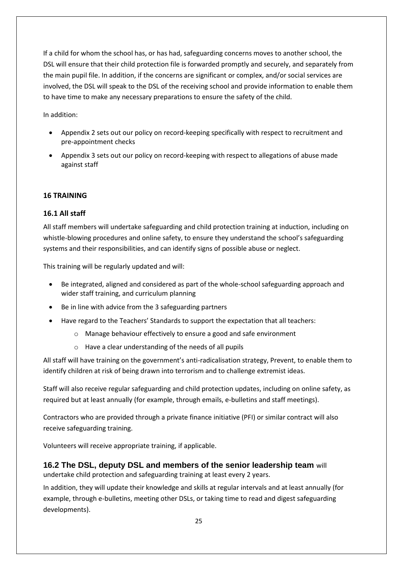If a child for whom the school has, or has had, safeguarding concerns moves to another school, the DSL will ensure that their child protection file is forwarded promptly and securely, and separately from the main pupil file. In addition, if the concerns are significant or complex, and/or social services are involved, the DSL will speak to the DSL of the receiving school and provide information to enable them to have time to make any necessary preparations to ensure the safety of the child.

## In addition:

- Appendix 2 sets out our policy on record-keeping specifically with respect to recruitment and pre-appointment checks
- Appendix 3 sets out our policy on record-keeping with respect to allegations of abuse made against staff

## **16 TRAINING**

## **16.1 All staff**

All staff members will undertake safeguarding and child protection training at induction, including on whistle-blowing procedures and online safety, to ensure they understand the school's safeguarding systems and their responsibilities, and can identify signs of possible abuse or neglect.

This training will be regularly updated and will:

- Be integrated, aligned and considered as part of the whole-school safeguarding approach and wider staff training, and curriculum planning
- Be in line with advice from the 3 safeguarding partners
- Have regard to the Teachers' Standards to support the expectation that all teachers:
	- o Manage behaviour effectively to ensure a good and safe environment
	- o Have a clear understanding of the needs of all pupils

All staff will have training on the government's anti-radicalisation strategy, Prevent, to enable them to identify children at risk of being drawn into terrorism and to challenge extremist ideas.

Staff will also receive regular safeguarding and child protection updates, including on online safety, as required but at least annually (for example, through emails, e-bulletins and staff meetings).

Contractors who are provided through a private finance initiative (PFI) or similar contract will also receive safeguarding training.

Volunteers will receive appropriate training, if applicable.

## **16.2 The DSL, deputy DSL and members of the senior leadership team** will

undertake child protection and safeguarding training at least every 2 years.

In addition, they will update their knowledge and skills at regular intervals and at least annually (for example, through e-bulletins, meeting other DSLs, or taking time to read and digest safeguarding developments).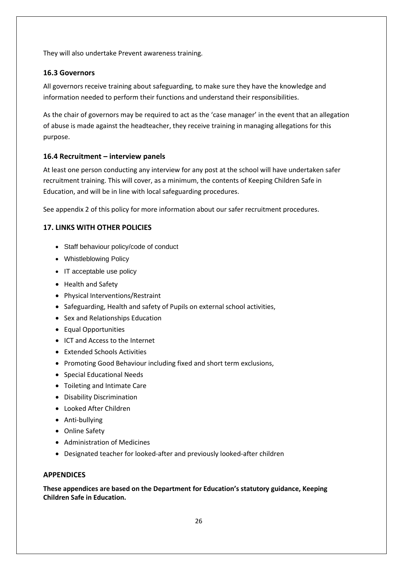They will also undertake Prevent awareness training.

#### **16.3 Governors**

All governors receive training about safeguarding, to make sure they have the knowledge and information needed to perform their functions and understand their responsibilities.

As the chair of governors may be required to act as the 'case manager' in the event that an allegation of abuse is made against the headteacher, they receive training in managing allegations for this purpose.

## **16.4 Recruitment – interview panels**

At least one person conducting any interview for any post at the school will have undertaken safer recruitment training. This will cover, as a minimum, the contents of Keeping Children Safe in Education, and will be in line with local safeguarding procedures.

See appendix 2 of this policy for more information about our safer recruitment procedures.

## **17. LINKS WITH OTHER POLICIES**

- Staff behaviour policy/code of conduct
- Whistleblowing Policy
- IT acceptable use policy
- Health and Safety
- Physical Interventions/Restraint
- Safeguarding, Health and safety of Pupils on external school activities,
- Sex and Relationships Education
- Equal Opportunities
- ICT and Access to the Internet
- Extended Schools Activities
- Promoting Good Behaviour including fixed and short term exclusions,
- Special Educational Needs
- Toileting and Intimate Care
- Disability Discrimination
- Looked After Children
- Anti-bullying
- Online Safety
- Administration of Medicines
- Designated teacher for looked-after and previously looked-after children

#### **APPENDICES**

**These appendices are based on the Department for Education's statutory guidance, Keeping Children Safe in Education.**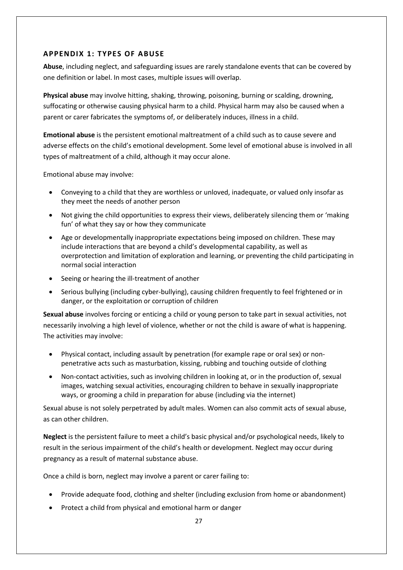## **APPENDIX 1: TYPES OF ABUSE**

**Abuse**, including neglect, and safeguarding issues are rarely standalone events that can be covered by one definition or label. In most cases, multiple issues will overlap.

**Physical abuse** may involve hitting, shaking, throwing, poisoning, burning or scalding, drowning, suffocating or otherwise causing physical harm to a child. Physical harm may also be caused when a parent or carer fabricates the symptoms of, or deliberately induces, illness in a child.

**Emotional abuse** is the persistent emotional maltreatment of a child such as to cause severe and adverse effects on the child's emotional development. Some level of emotional abuse is involved in all types of maltreatment of a child, although it may occur alone.

Emotional abuse may involve:

- Conveying to a child that they are worthless or unloved, inadequate, or valued only insofar as they meet the needs of another person
- Not giving the child opportunities to express their views, deliberately silencing them or 'making fun' of what they say or how they communicate
- Age or developmentally inappropriate expectations being imposed on children. These may include interactions that are beyond a child's developmental capability, as well as overprotection and limitation of exploration and learning, or preventing the child participating in normal social interaction
- Seeing or hearing the ill-treatment of another
- Serious bullying (including cyber-bullying), causing children frequently to feel frightened or in danger, or the exploitation or corruption of children

**Sexual abuse** involves forcing or enticing a child or young person to take part in sexual activities, not necessarily involving a high level of violence, whether or not the child is aware of what is happening. The activities may involve:

- Physical contact, including assault by penetration (for example rape or oral sex) or nonpenetrative acts such as masturbation, kissing, rubbing and touching outside of clothing
- Non-contact activities, such as involving children in looking at, or in the production of, sexual images, watching sexual activities, encouraging children to behave in sexually inappropriate ways, or grooming a child in preparation for abuse (including via the internet)

Sexual abuse is not solely perpetrated by adult males. Women can also commit acts of sexual abuse, as can other children.

**Neglect** is the persistent failure to meet a child's basic physical and/or psychological needs, likely to result in the serious impairment of the child's health or development. Neglect may occur during pregnancy as a result of maternal substance abuse.

Once a child is born, neglect may involve a parent or carer failing to:

- Provide adequate food, clothing and shelter (including exclusion from home or abandonment)
- Protect a child from physical and emotional harm or danger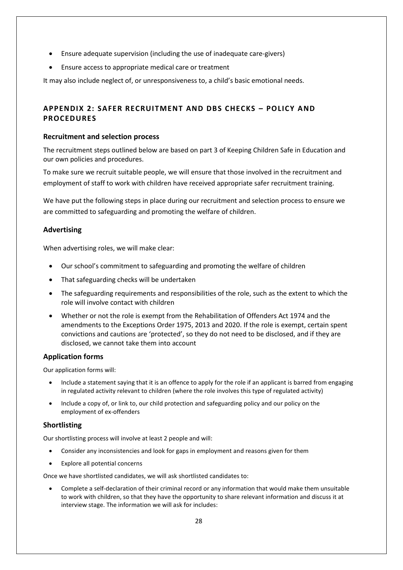- Ensure adequate supervision (including the use of inadequate care-givers)
- Ensure access to appropriate medical care or treatment

It may also include neglect of, or unresponsiveness to, a child's basic emotional needs.

## **APPENDIX 2: SAFER RECRUITMENT AND DBS CHECKS – POLICY AND PROCEDURES**

#### **Recruitment and selection process**

The recruitment steps outlined below are based on part 3 of Keeping Children Safe in Education and our own policies and procedures.

To make sure we recruit suitable people, we will ensure that those involved in the recruitment and employment of staff to work with children have received appropriate safer recruitment training.

We have put the following steps in place during our recruitment and selection process to ensure we are committed to safeguarding and promoting the welfare of children.

#### **Advertising**

When advertising roles, we will make clear:

- Our school's commitment to safeguarding and promoting the welfare of children
- That safeguarding checks will be undertaken
- The safeguarding requirements and responsibilities of the role, such as the extent to which the role will involve contact with children
- Whether or not the role is exempt from the Rehabilitation of Offenders Act 1974 and the amendments to the Exceptions Order 1975, 2013 and 2020. If the role is exempt, certain spent convictions and cautions are 'protected', so they do not need to be disclosed, and if they are disclosed, we cannot take them into account

#### **Application forms**

Our application forms will:

- Include a statement saying that it is an offence to apply for the role if an applicant is barred from engaging in regulated activity relevant to children (where the role involves this type of regulated activity)
- Include a copy of, or link to, our child protection and safeguarding policy and our policy on the employment of ex-offenders

#### **Shortlisting**

Our shortlisting process will involve at least 2 people and will:

- Consider any inconsistencies and look for gaps in employment and reasons given for them
- Explore all potential concerns

Once we have shortlisted candidates, we will ask shortlisted candidates to:

• Complete a self-declaration of their criminal record or any information that would make them unsuitable to work with children, so that they have the opportunity to share relevant information and discuss it at interview stage. The information we will ask for includes: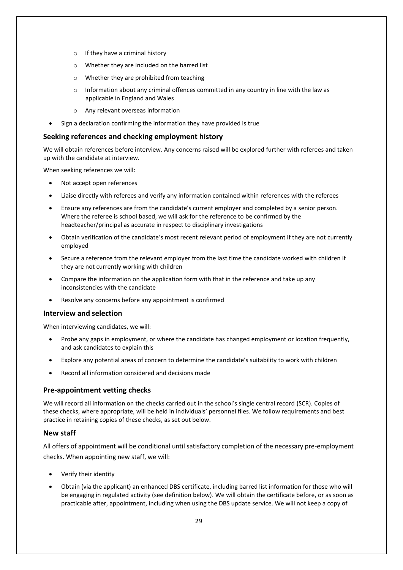- o If they have a criminal history
- o Whether they are included on the barred list
- o Whether they are prohibited from teaching
- o Information about any criminal offences committed in any country in line with the law as applicable in England and Wales
- o Any relevant overseas information
- Sign a declaration confirming the information they have provided is true

#### **Seeking references and checking employment history**

We will obtain references before interview. Any concerns raised will be explored further with referees and taken up with the candidate at interview.

When seeking references we will:

- Not accept open references
- Liaise directly with referees and verify any information contained within references with the referees
- Ensure any references are from the candidate's current employer and completed by a senior person. Where the referee is school based, we will ask for the reference to be confirmed by the headteacher/principal as accurate in respect to disciplinary investigations
- Obtain verification of the candidate's most recent relevant period of employment if they are not currently employed
- Secure a reference from the relevant employer from the last time the candidate worked with children if they are not currently working with children
- Compare the information on the application form with that in the reference and take up any inconsistencies with the candidate
- Resolve any concerns before any appointment is confirmed

#### **Interview and selection**

When interviewing candidates, we will:

- Probe any gaps in employment, or where the candidate has changed employment or location frequently, and ask candidates to explain this
- Explore any potential areas of concern to determine the candidate's suitability to work with children
- Record all information considered and decisions made

#### **Pre-appointment vetting checks**

We will record all information on the checks carried out in the school's single central record (SCR). Copies of these checks, where appropriate, will be held in individuals' personnel files. We follow requirements and best practice in retaining copies of these checks, as set out below.

#### **New staff**

All offers of appointment will be conditional until satisfactory completion of the necessary pre-employment checks. When appointing new staff, we will:

- Verify their identity
- Obtain (via the applicant) an enhanced DBS certificate, including barred list information for those who will be engaging in regulated activity (see definition below). We will obtain the certificate before, or as soon as practicable after, appointment, including when using the DBS update service. We will not keep a copy of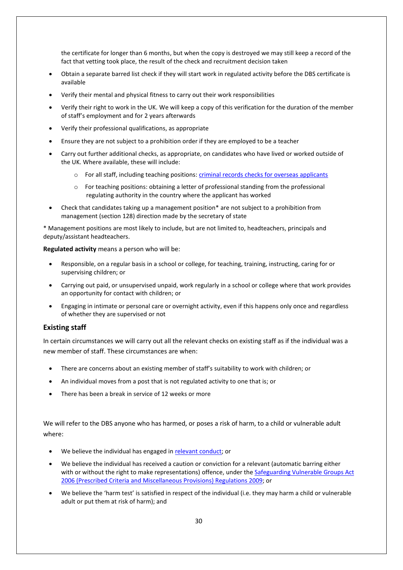the certificate for longer than 6 months, but when the copy is destroyed we may still keep a record of the fact that vetting took place, the result of the check and recruitment decision taken

- Obtain a separate barred list check if they will start work in regulated activity before the DBS certificate is available
- Verify their mental and physical fitness to carry out their work responsibilities
- Verify their right to work in the UK. We will keep a copy of this verification for the duration of the member of staff's employment and for 2 years afterwards
- Verify their professional qualifications, as appropriate
- Ensure they are not subject to a prohibition order if they are employed to be a teacher
- Carry out further additional checks, as appropriate, on candidates who have lived or worked outside of the UK. Where available, these will include:
	- o For all staff, including teaching positions: [criminal records checks for overseas applicants](https://www.gov.uk/government/publications/criminal-records-checks-for-overseas-applicants)
	- o For teaching positions: obtaining a letter of professional standing from the professional regulating authority in the country where the applicant has worked
- Check that candidates taking up a management position\* are not subject to a prohibition from management (section 128) direction made by the secretary of state

\* Management positions are most likely to include, but are not limited to, headteachers, principals and deputy/assistant headteachers.

**Regulated activity** means a person who will be:

- Responsible, on a regular basis in a school or college, for teaching, training, instructing, caring for or supervising children; or
- Carrying out paid, or unsupervised unpaid, work regularly in a school or college where that work provides an opportunity for contact with children; or
- Engaging in intimate or personal care or overnight activity, even if this happens only once and regardless of whether they are supervised or not

#### **Existing staff**

In certain circumstances we will carry out all the relevant checks on existing staff as if the individual was a new member of staff. These circumstances are when:

- There are concerns about an existing member of staff's suitability to work with children; or
- An individual moves from a post that is not regulated activity to one that is; or
- There has been a break in service of 12 weeks or more

We will refer to the DBS anyone who has harmed, or poses a risk of harm, to a child or vulnerable adult where:

- We believe the individual has engaged i[n relevant conduct;](https://www.gov.uk/guidance/making-barring-referrals-to-the-dbs#relevant-conduct-in-relation-to-children) or
- We believe the individual has received a caution or conviction for a relevant (automatic barring either with or without the right to make representations) offence, under th[e Safeguarding Vulnerable](http://www.legislation.gov.uk/uksi/2009/37/contents/made) Groups Act [2006 \(Prescribed Criteria and Miscellaneous Provisions\) Regulations 2009;](http://www.legislation.gov.uk/uksi/2009/37/contents/made) or
- We believe the 'harm test' is satisfied in respect of the individual (i.e. they may harm a child or vulnerable adult or put them at risk of harm); and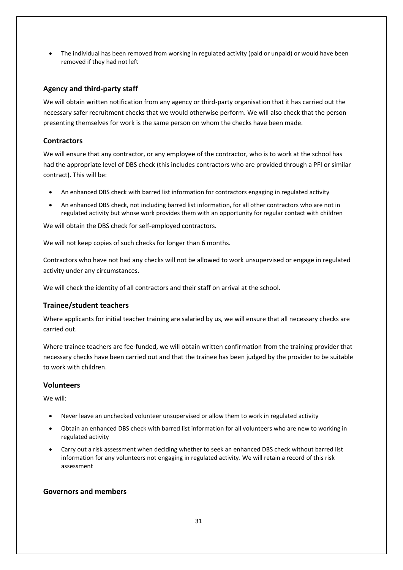• The individual has been removed from working in regulated activity (paid or unpaid) or would have been removed if they had not left

## **Agency and third-party staff**

We will obtain written notification from any agency or third-party organisation that it has carried out the necessary safer recruitment checks that we would otherwise perform. We will also check that the person presenting themselves for work is the same person on whom the checks have been made.

## **Contractors**

We will ensure that any contractor, or any employee of the contractor, who is to work at the school has had the appropriate level of DBS check (this includes contractors who are provided through a PFI or similar contract). This will be:

- An enhanced DBS check with barred list information for contractors engaging in regulated activity
- An enhanced DBS check, not including barred list information, for all other contractors who are not in regulated activity but whose work provides them with an opportunity for regular contact with children

We will obtain the DBS check for self-employed contractors.

We will not keep copies of such checks for longer than 6 months.

Contractors who have not had any checks will not be allowed to work unsupervised or engage in regulated activity under any circumstances.

We will check the identity of all contractors and their staff on arrival at the school.

#### **Trainee/student teachers**

Where applicants for initial teacher training are salaried by us, we will ensure that all necessary checks are carried out.

Where trainee teachers are fee-funded, we will obtain written confirmation from the training provider that necessary checks have been carried out and that the trainee has been judged by the provider to be suitable to work with children.

#### **Volunteers**

We will:

- Never leave an unchecked volunteer unsupervised or allow them to work in regulated activity
- Obtain an enhanced DBS check with barred list information for all volunteers who are new to working in regulated activity
- Carry out a risk assessment when deciding whether to seek an enhanced DBS check without barred list information for any volunteers not engaging in regulated activity. We will retain a record of this risk assessment

#### **Governors and members**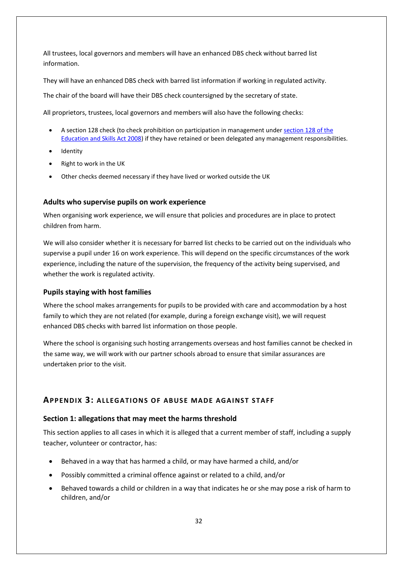All trustees, local governors and members will have an enhanced DBS check without barred list information.

They will have an enhanced DBS check with barred list information if working in regulated activity.

The chair of the board will have their DBS check countersigned by the secretary of state.

All proprietors, trustees, local governors and members will also have the following checks:

- A section 128 check (to check prohibition on participation in management unde[r section 128 of the](https://www.legislation.gov.uk/ukpga/2008/25/section/128)  [Education and Skills Act 2008\)](https://www.legislation.gov.uk/ukpga/2008/25/section/128) if they have retained or been delegated any management responsibilities.
- Identity
- Right to work in the UK
- Other checks deemed necessary if they have lived or worked outside the UK

## **Adults who supervise pupils on work experience**

When organising work experience, we will ensure that policies and procedures are in place to protect children from harm.

We will also consider whether it is necessary for barred list checks to be carried out on the individuals who supervise a pupil under 16 on work experience. This will depend on the specific circumstances of the work experience, including the nature of the supervision, the frequency of the activity being supervised, and whether the work is regulated activity.

## **Pupils staying with host families**

Where the school makes arrangements for pupils to be provided with care and accommodation by a host family to which they are not related (for example, during a foreign exchange visit), we will request enhanced DBS checks with barred list information on those people.

Where the school is organising such hosting arrangements overseas and host families cannot be checked in the same way, we will work with our partner schools abroad to ensure that similar assurances are undertaken prior to the visit.

## **APPENDIX 3: ALLEGATIONS OF ABUSE MADE AGAINST STAFF**

## **Section 1: allegations that may meet the harms threshold**

This section applies to all cases in which it is alleged that a current member of staff, including a supply teacher, volunteer or contractor, has:

- Behaved in a way that has harmed a child, or may have harmed a child, and/or
- Possibly committed a criminal offence against or related to a child, and/or
- Behaved towards a child or children in a way that indicates he or she may pose a risk of harm to children, and/or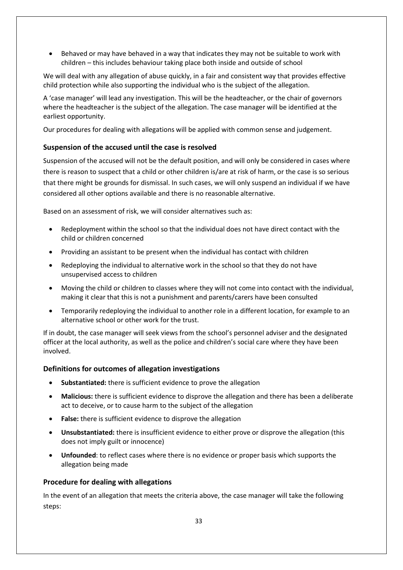• Behaved or may have behaved in a way that indicates they may not be suitable to work with children – this includes behaviour taking place both inside and outside of school

We will deal with any allegation of abuse quickly, in a fair and consistent way that provides effective child protection while also supporting the individual who is the subject of the allegation.

A 'case manager' will lead any investigation. This will be the headteacher, or the chair of governors where the headteacher is the subject of the allegation. The case manager will be identified at the earliest opportunity.

Our procedures for dealing with allegations will be applied with common sense and judgement.

## **Suspension of the accused until the case is resolved**

Suspension of the accused will not be the default position, and will only be considered in cases where there is reason to suspect that a child or other children is/are at risk of harm, or the case is so serious that there might be grounds for dismissal. In such cases, we will only suspend an individual if we have considered all other options available and there is no reasonable alternative.

Based on an assessment of risk, we will consider alternatives such as:

- Redeployment within the school so that the individual does not have direct contact with the child or children concerned
- Providing an assistant to be present when the individual has contact with children
- Redeploying the individual to alternative work in the school so that they do not have unsupervised access to children
- Moving the child or children to classes where they will not come into contact with the individual, making it clear that this is not a punishment and parents/carers have been consulted
- Temporarily redeploying the individual to another role in a different location, for example to an alternative school or other work for the trust.

If in doubt, the case manager will seek views from the school's personnel adviser and the designated officer at the local authority, as well as the police and children's social care where they have been involved.

#### **Definitions for outcomes of allegation investigations**

- **Substantiated:** there is sufficient evidence to prove the allegation
- **Malicious:** there is sufficient evidence to disprove the allegation and there has been a deliberate act to deceive, or to cause harm to the subject of the allegation
- **False:** there is sufficient evidence to disprove the allegation
- **Unsubstantiated:** there is insufficient evidence to either prove or disprove the allegation (this does not imply guilt or innocence)
- **Unfounded**: to reflect cases where there is no evidence or proper basis which supports the allegation being made

#### **Procedure for dealing with allegations**

In the event of an allegation that meets the criteria above, the case manager will take the following steps: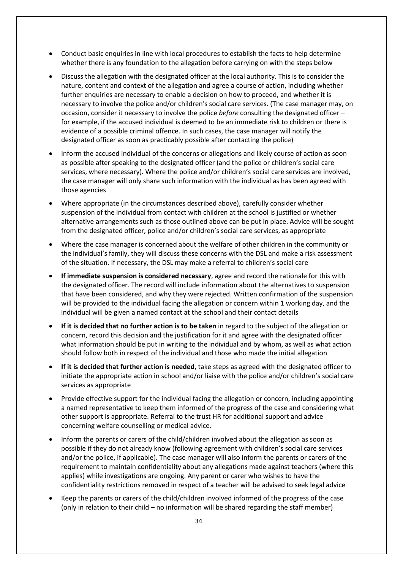- Conduct basic enquiries in line with local procedures to establish the facts to help determine whether there is any foundation to the allegation before carrying on with the steps below
- Discuss the allegation with the designated officer at the local authority. This is to consider the nature, content and context of the allegation and agree a course of action, including whether further enquiries are necessary to enable a decision on how to proceed, and whether it is necessary to involve the police and/or children's social care services. (The case manager may, on occasion, consider it necessary to involve the police *before* consulting the designated officer – for example, if the accused individual is deemed to be an immediate risk to children or there is evidence of a possible criminal offence. In such cases, the case manager will notify the designated officer as soon as practicably possible after contacting the police)
- Inform the accused individual of the concerns or allegations and likely course of action as soon as possible after speaking to the designated officer (and the police or children's social care services, where necessary). Where the police and/or children's social care services are involved, the case manager will only share such information with the individual as has been agreed with those agencies
- Where appropriate (in the circumstances described above), carefully consider whether suspension of the individual from contact with children at the school is justified or whether alternative arrangements such as those outlined above can be put in place. Advice will be sought from the designated officer, police and/or children's social care services, as appropriate
- Where the case manager is concerned about the welfare of other children in the community or the individual's family, they will discuss these concerns with the DSL and make a risk assessment of the situation. If necessary, the DSL may make a referral to children's social care
- **If immediate suspension is considered necessary**, agree and record the rationale for this with the designated officer. The record will include information about the alternatives to suspension that have been considered, and why they were rejected. Written confirmation of the suspension will be provided to the individual facing the allegation or concern within 1 working day, and the individual will be given a named contact at the school and their contact details
- **If it is decided that no further action is to be taken** in regard to the subject of the allegation or concern, record this decision and the justification for it and agree with the designated officer what information should be put in writing to the individual and by whom, as well as what action should follow both in respect of the individual and those who made the initial allegation
- **If it is decided that further action is needed**, take steps as agreed with the designated officer to initiate the appropriate action in school and/or liaise with the police and/or children's social care services as appropriate
- Provide effective support for the individual facing the allegation or concern, including appointing a named representative to keep them informed of the progress of the case and considering what other support is appropriate. Referral to the trust HR for additional support and advice concerning welfare counselling or medical advice.
- Inform the parents or carers of the child/children involved about the allegation as soon as possible if they do not already know (following agreement with children's social care services and/or the police, if applicable). The case manager will also inform the parents or carers of the requirement to maintain confidentiality about any allegations made against teachers (where this applies) while investigations are ongoing. Any parent or carer who wishes to have the confidentiality restrictions removed in respect of a teacher will be advised to seek legal advice
- Keep the parents or carers of the child/children involved informed of the progress of the case (only in relation to their child – no information will be shared regarding the staff member)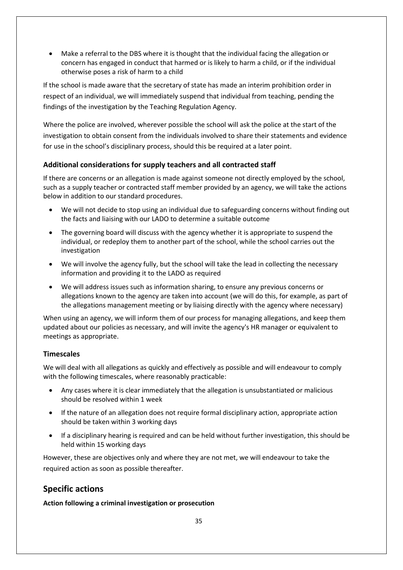• Make a referral to the DBS where it is thought that the individual facing the allegation or concern has engaged in conduct that harmed or is likely to harm a child, or if the individual otherwise poses a risk of harm to a child

If the school is made aware that the secretary of state has made an interim prohibition order in respect of an individual, we will immediately suspend that individual from teaching, pending the findings of the investigation by the Teaching Regulation Agency.

Where the police are involved, wherever possible the school will ask the police at the start of the investigation to obtain consent from the individuals involved to share their statements and evidence for use in the school's disciplinary process, should this be required at a later point.

## **Additional considerations for supply teachers and all contracted staff**

If there are concerns or an allegation is made against someone not directly employed by the school, such as a supply teacher or contracted staff member provided by an agency, we will take the actions below in addition to our standard procedures.

- We will not decide to stop using an individual due to safeguarding concerns without finding out the facts and liaising with our LADO to determine a suitable outcome
- The governing board will discuss with the agency whether it is appropriate to suspend the individual, or redeploy them to another part of the school, while the school carries out the investigation
- We will involve the agency fully, but the school will take the lead in collecting the necessary information and providing it to the LADO as required
- We will address issues such as information sharing, to ensure any previous concerns or allegations known to the agency are taken into account (we will do this, for example, as part of the allegations management meeting or by liaising directly with the agency where necessary)

When using an agency, we will inform them of our process for managing allegations, and keep them updated about our policies as necessary, and will invite the agency's HR manager or equivalent to meetings as appropriate.

## **Timescales**

We will deal with all allegations as quickly and effectively as possible and will endeavour to comply with the following timescales, where reasonably practicable:

- Any cases where it is clear immediately that the allegation is unsubstantiated or malicious should be resolved within 1 week
- If the nature of an allegation does not require formal disciplinary action, appropriate action should be taken within 3 working days
- If a disciplinary hearing is required and can be held without further investigation, this should be held within 15 working days

However, these are objectives only and where they are not met, we will endeavour to take the required action as soon as possible thereafter.

## **Specific actions**

**Action following a criminal investigation or prosecution**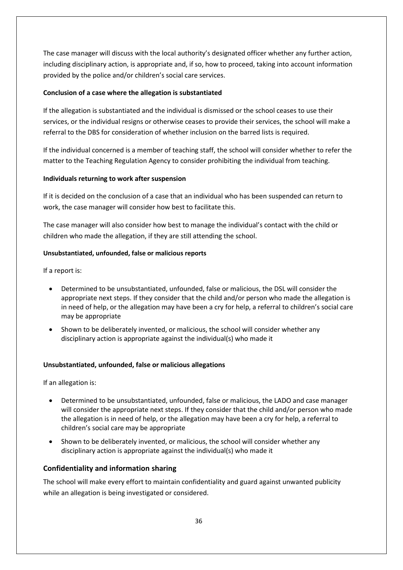The case manager will discuss with the local authority's designated officer whether any further action, including disciplinary action, is appropriate and, if so, how to proceed, taking into account information provided by the police and/or children's social care services.

## **Conclusion of a case where the allegation is substantiated**

If the allegation is substantiated and the individual is dismissed or the school ceases to use their services, or the individual resigns or otherwise ceases to provide their services, the school will make a referral to the DBS for consideration of whether inclusion on the barred lists is required.

If the individual concerned is a member of teaching staff, the school will consider whether to refer the matter to the Teaching Regulation Agency to consider prohibiting the individual from teaching.

#### **Individuals returning to work after suspension**

If it is decided on the conclusion of a case that an individual who has been suspended can return to work, the case manager will consider how best to facilitate this.

The case manager will also consider how best to manage the individual's contact with the child or children who made the allegation, if they are still attending the school.

#### **Unsubstantiated, unfounded, false or malicious reports**

If a report is:

- Determined to be unsubstantiated, unfounded, false or malicious, the DSL will consider the appropriate next steps. If they consider that the child and/or person who made the allegation is in need of help, or the allegation may have been a cry for help, a referral to children's social care may be appropriate
- Shown to be deliberately invented, or malicious, the school will consider whether any disciplinary action is appropriate against the individual(s) who made it

#### **Unsubstantiated, unfounded, false or malicious allegations**

If an allegation is:

- Determined to be unsubstantiated, unfounded, false or malicious, the LADO and case manager will consider the appropriate next steps. If they consider that the child and/or person who made the allegation is in need of help, or the allegation may have been a cry for help, a referral to children's social care may be appropriate
- Shown to be deliberately invented, or malicious, the school will consider whether any disciplinary action is appropriate against the individual(s) who made it

## **Confidentiality and information sharing**

The school will make every effort to maintain confidentiality and guard against unwanted publicity while an allegation is being investigated or considered.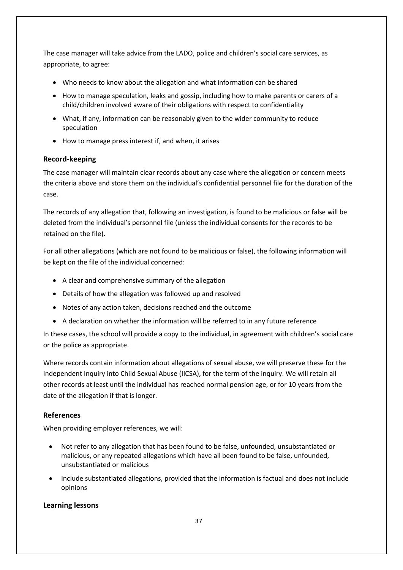The case manager will take advice from the LADO, police and children's social care services, as appropriate, to agree:

- Who needs to know about the allegation and what information can be shared
- How to manage speculation, leaks and gossip, including how to make parents or carers of a child/children involved aware of their obligations with respect to confidentiality
- What, if any, information can be reasonably given to the wider community to reduce speculation
- How to manage press interest if, and when, it arises

## **Record-keeping**

The case manager will maintain clear records about any case where the allegation or concern meets the criteria above and store them on the individual's confidential personnel file for the duration of the case.

The records of any allegation that, following an investigation, is found to be malicious or false will be deleted from the individual's personnel file (unless the individual consents for the records to be retained on the file).

For all other allegations (which are not found to be malicious or false), the following information will be kept on the file of the individual concerned:

- A clear and comprehensive summary of the allegation
- Details of how the allegation was followed up and resolved
- Notes of any action taken, decisions reached and the outcome
- A declaration on whether the information will be referred to in any future reference

In these cases, the school will provide a copy to the individual, in agreement with children's social care or the police as appropriate.

Where records contain information about allegations of sexual abuse, we will preserve these for the Independent Inquiry into Child Sexual Abuse (IICSA), for the term of the inquiry. We will retain all other records at least until the individual has reached normal pension age, or for 10 years from the date of the allegation if that is longer.

## **References**

When providing employer references, we will:

- Not refer to any allegation that has been found to be false, unfounded, unsubstantiated or malicious, or any repeated allegations which have all been found to be false, unfounded, unsubstantiated or malicious
- Include substantiated allegations, provided that the information is factual and does not include opinions

## **Learning lessons**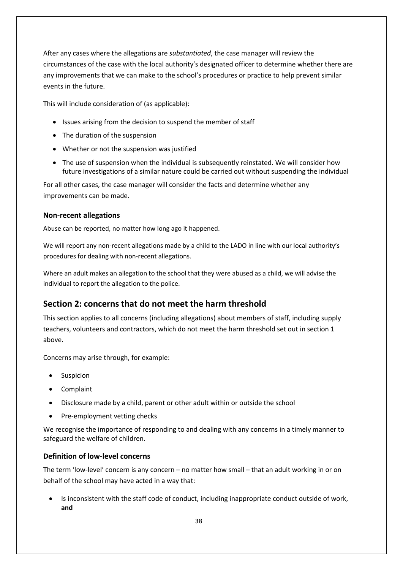After any cases where the allegations are *substantiated*, the case manager will review the circumstances of the case with the local authority's designated officer to determine whether there are any improvements that we can make to the school's procedures or practice to help prevent similar events in the future.

This will include consideration of (as applicable):

- Issues arising from the decision to suspend the member of staff
- The duration of the suspension
- Whether or not the suspension was justified
- The use of suspension when the individual is subsequently reinstated. We will consider how future investigations of a similar nature could be carried out without suspending the individual

For all other cases, the case manager will consider the facts and determine whether any improvements can be made.

#### **Non-recent allegations**

Abuse can be reported, no matter how long ago it happened.

We will report any non-recent allegations made by a child to the LADO in line with our local authority's procedures for dealing with non-recent allegations.

Where an adult makes an allegation to the school that they were abused as a child, we will advise the individual to report the allegation to the police.

## **Section 2: concerns that do not meet the harm threshold**

This section applies to all concerns (including allegations) about members of staff, including supply teachers, volunteers and contractors, which do not meet the harm threshold set out in section 1 above.

Concerns may arise through, for example:

- Suspicion
- **Complaint**
- Disclosure made by a child, parent or other adult within or outside the school
- Pre-employment vetting checks

We recognise the importance of responding to and dealing with any concerns in a timely manner to safeguard the welfare of children.

## **Definition of low-level concerns**

The term 'low-level' concern is any concern – no matter how small – that an adult working in or on behalf of the school may have acted in a way that:

Is inconsistent with the staff code of conduct, including inappropriate conduct outside of work, **and**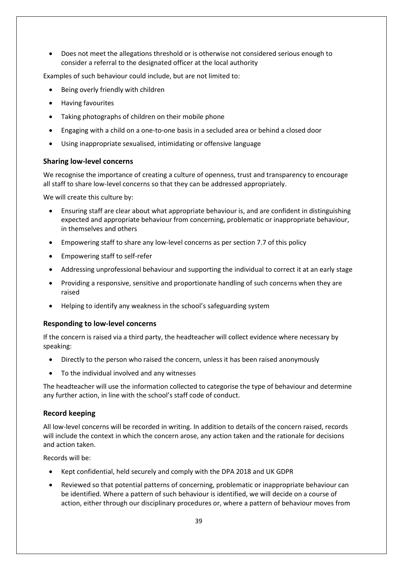• Does not meet the allegations threshold or is otherwise not considered serious enough to consider a referral to the designated officer at the local authority

Examples of such behaviour could include, but are not limited to:

- Being overly friendly with children
- Having favourites
- Taking photographs of children on their mobile phone
- Engaging with a child on a one-to-one basis in a secluded area or behind a closed door
- Using inappropriate sexualised, intimidating or offensive language

#### **Sharing low-level concerns**

We recognise the importance of creating a culture of openness, trust and transparency to encourage all staff to share low-level concerns so that they can be addressed appropriately.

We will create this culture by:

- Ensuring staff are clear about what appropriate behaviour is, and are confident in distinguishing expected and appropriate behaviour from concerning, problematic or inappropriate behaviour, in themselves and others
- Empowering staff to share any low-level concerns as per section 7.7 of this policy
- Empowering staff to self-refer
- Addressing unprofessional behaviour and supporting the individual to correct it at an early stage
- Providing a responsive, sensitive and proportionate handling of such concerns when they are raised
- Helping to identify any weakness in the school's safeguarding system

## **Responding to low-level concerns**

If the concern is raised via a third party, the headteacher will collect evidence where necessary by speaking:

- Directly to the person who raised the concern, unless it has been raised anonymously
- To the individual involved and any witnesses

The headteacher will use the information collected to categorise the type of behaviour and determine any further action, in line with the school's staff code of conduct.

#### **Record keeping**

All low-level concerns will be recorded in writing. In addition to details of the concern raised, records will include the context in which the concern arose, any action taken and the rationale for decisions and action taken.

Records will be:

- Kept confidential, held securely and comply with the DPA 2018 and UK GDPR
- Reviewed so that potential patterns of concerning, problematic or inappropriate behaviour can be identified. Where a pattern of such behaviour is identified, we will decide on a course of action, either through our disciplinary procedures or, where a pattern of behaviour moves from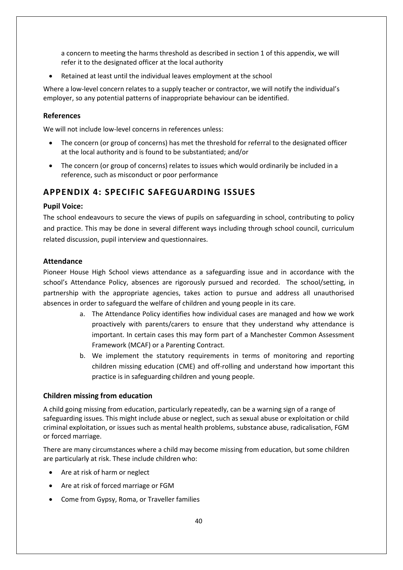a concern to meeting the harms threshold as described in section 1 of this appendix, we will refer it to the designated officer at the local authority

• Retained at least until the individual leaves employment at the school

Where a low-level concern relates to a supply teacher or contractor, we will notify the individual's employer, so any potential patterns of inappropriate behaviour can be identified.

## **References**

We will not include low-level concerns in references unless:

- The concern (or group of concerns) has met the threshold for referral to the designated officer at the local authority and is found to be substantiated; and/or
- The concern (or group of concerns) relates to issues which would ordinarily be included in a reference, such as misconduct or poor performance

## **APPENDIX 4: SPECIFIC SAFEGUARDING ISSUES**

## **Pupil Voice:**

The school endeavours to secure the views of pupils on safeguarding in school, contributing to policy and practice. This may be done in several different ways including through school council, curriculum related discussion, pupil interview and questionnaires.

## **Attendance**

Pioneer House High School views attendance as a safeguarding issue and in accordance with the school's Attendance Policy, absences are rigorously pursued and recorded. The school/setting, in partnership with the appropriate agencies, takes action to pursue and address all unauthorised absences in order to safeguard the welfare of children and young people in its care.

- a. The Attendance Policy identifies how individual cases are managed and how we work proactively with parents/carers to ensure that they understand why attendance is important. In certain cases this may form part of a Manchester Common Assessment Framework (MCAF) or a Parenting Contract.
- b. We implement the statutory requirements in terms of monitoring and reporting children missing education (CME) and off-rolling and understand how important this practice is in safeguarding children and young people.

## **Children missing from education**

A child going missing from education, particularly repeatedly, can be a warning sign of a range of safeguarding issues. This might include abuse or neglect, such as sexual abuse or exploitation or child criminal exploitation, or issues such as mental health problems, substance abuse, radicalisation, FGM or forced marriage.

There are many circumstances where a child may become missing from education, but some children are particularly at risk. These include children who:

- Are at risk of harm or neglect
- Are at risk of forced marriage or FGM
- Come from Gypsy, Roma, or Traveller families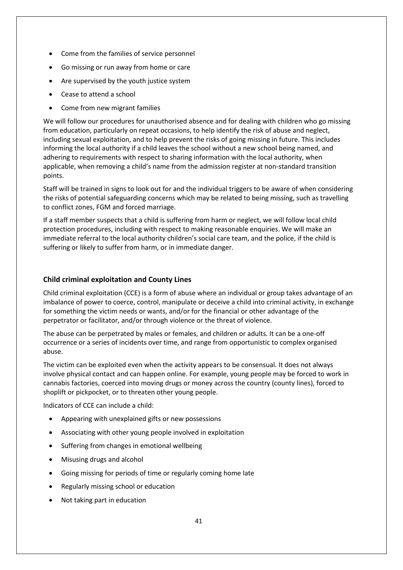- Come from the families of service personnel
- Go missing or run away from home or care
- Are supervised by the youth justice system
- Cease to attend a school
- Come from new migrant families

We will follow our procedures for unauthorised absence and for dealing with children who go missing from education, particularly on repeat occasions, to help identify the risk of abuse and neglect, including sexual exploitation, and to help prevent the risks of going missing in future. This includes informing the local authority if a child leaves the school without a new school being named, and adhering to requirements with respect to sharing information with the local authority, when applicable, when removing a child's name from the admission register at non-standard transition points.

Staff will be trained in signs to look out for and the individual triggers to be aware of when considering the risks of potential safeguarding concerns which may be related to being missing, such as travelling to conflict zones, FGM and forced marriage.

If a staff member suspects that a child is suffering from harm or neglect, we will follow local child protection procedures, including with respect to making reasonable enquiries. We will make an immediate referral to the local authority children's social care team, and the police, if the child is suffering or likely to suffer from harm, or in immediate danger.

#### **Child criminal exploitation and County Lines**

Child criminal exploitation (CCE) is a form of abuse where an individual or group takes advantage of an imbalance of power to coerce, control, manipulate or deceive a child into criminal activity, in exchange for something the victim needs or wants, and/or for the financial or other advantage of the perpetrator or facilitator, and/or through violence or the threat of violence.

The abuse can be perpetrated by males or females, and children or adults. It can be a one-off occurrence or a series of incidents over time, and range from opportunistic to complex organised abuse.

The victim can be exploited even when the activity appears to be consensual. It does not always involve physical contact and can happen online. For example, young people may be forced to work in cannabis factories, coerced into moving drugs or money across the country (county lines), forced to shoplift or pickpocket, or to threaten other young people.

Indicators of CCE can include a child:

- Appearing with unexplained gifts or new possessions
- Associating with other young people involved in exploitation
- Suffering from changes in emotional wellbeing
- Misusing drugs and alcohol
- Going missing for periods of time or regularly coming home late
- Regularly missing school or education
- Not taking part in education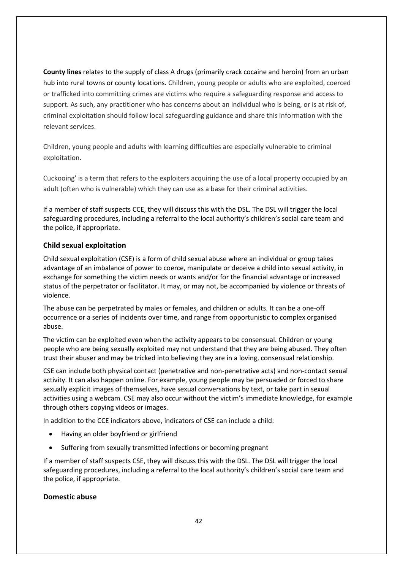**County lines** relates to the supply of class A drugs (primarily crack cocaine and heroin) from an urban hub into rural towns or county locations. Children, young people or adults who are exploited, coerced or trafficked into committing crimes are victims who require a safeguarding response and access to support. As such, any practitioner who has concerns about an individual who is being, or is at risk of, criminal exploitation should follow local safeguarding guidance and share this information with the relevant services.

Children, young people and adults with learning difficulties are especially vulnerable to criminal exploitation.

Cuckooing' is a term that refers to the exploiters acquiring the use of a local property occupied by an adult (often who is vulnerable) which they can use as a base for their criminal activities.

If a member of staff suspects CCE, they will discuss this with the DSL. The DSL will trigger the local safeguarding procedures, including a referral to the local authority's children's social care team and the police, if appropriate.

#### **Child sexual exploitation**

Child sexual exploitation (CSE) is a form of child sexual abuse where an individual or group takes advantage of an imbalance of power to coerce, manipulate or deceive a child into sexual activity, in exchange for something the victim needs or wants and/or for the financial advantage or increased status of the perpetrator or facilitator. It may, or may not, be accompanied by violence or threats of violence.

The abuse can be perpetrated by males or females, and children or adults. It can be a one-off occurrence or a series of incidents over time, and range from opportunistic to complex organised abuse.

The victim can be exploited even when the activity appears to be consensual. Children or young people who are being sexually exploited may not understand that they are being abused. They often trust their abuser and may be tricked into believing they are in a loving, consensual relationship.

CSE can include both physical contact (penetrative and non-penetrative acts) and non-contact sexual activity. It can also happen online. For example, young people may be persuaded or forced to share sexually explicit images of themselves, have sexual conversations by text, or take part in sexual activities using a webcam. CSE may also occur without the victim's immediate knowledge, for example through others copying videos or images.

In addition to the CCE indicators above, indicators of CSE can include a child:

- Having an older boyfriend or girlfriend
- Suffering from sexually transmitted infections or becoming pregnant

If a member of staff suspects CSE, they will discuss this with the DSL. The DSL will trigger the local safeguarding procedures, including a referral to the local authority's children's social care team and the police, if appropriate.

#### **Domestic abuse**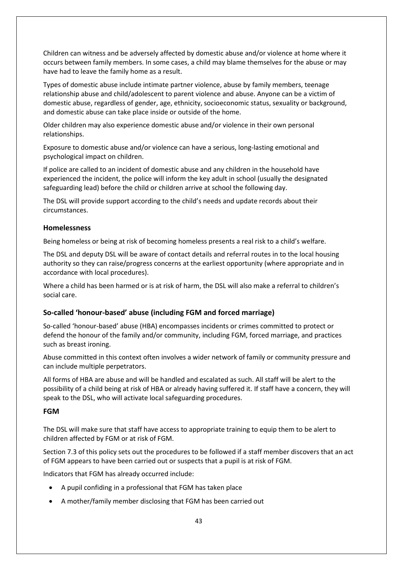Children can witness and be adversely affected by domestic abuse and/or violence at home where it occurs between family members. In some cases, a child may blame themselves for the abuse or may have had to leave the family home as a result.

Types of domestic abuse include intimate partner violence, abuse by family members, teenage relationship abuse and child/adolescent to parent violence and abuse. Anyone can be a victim of domestic abuse, regardless of gender, age, ethnicity, socioeconomic status, sexuality or background, and domestic abuse can take place inside or outside of the home.

Older children may also experience domestic abuse and/or violence in their own personal relationships.

Exposure to domestic abuse and/or violence can have a serious, long-lasting emotional and psychological impact on children.

If police are called to an incident of domestic abuse and any children in the household have experienced the incident, the police will inform the key adult in school (usually the designated safeguarding lead) before the child or children arrive at school the following day.

The DSL will provide support according to the child's needs and update records about their circumstances.

#### **Homelessness**

Being homeless or being at risk of becoming homeless presents a real risk to a child's welfare.

The DSL and deputy DSL will be aware of contact details and referral routes in to the local housing authority so they can raise/progress concerns at the earliest opportunity (where appropriate and in accordance with local procedures).

Where a child has been harmed or is at risk of harm, the DSL will also make a referral to children's social care.

## **So-called 'honour-based' abuse (including FGM and forced marriage)**

So-called 'honour-based' abuse (HBA) encompasses incidents or crimes committed to protect or defend the honour of the family and/or community, including FGM, forced marriage, and practices such as breast ironing.

Abuse committed in this context often involves a wider network of family or community pressure and can include multiple perpetrators.

All forms of HBA are abuse and will be handled and escalated as such. All staff will be alert to the possibility of a child being at risk of HBA or already having suffered it. If staff have a concern, they will speak to the DSL, who will activate local safeguarding procedures.

#### **FGM**

The DSL will make sure that staff have access to appropriate training to equip them to be alert to children affected by FGM or at risk of FGM.

Section 7.3 of this policy sets out the procedures to be followed if a staff member discovers that an act of FGM appears to have been carried out or suspects that a pupil is at risk of FGM.

Indicators that FGM has already occurred include:

- A pupil confiding in a professional that FGM has taken place
- A mother/family member disclosing that FGM has been carried out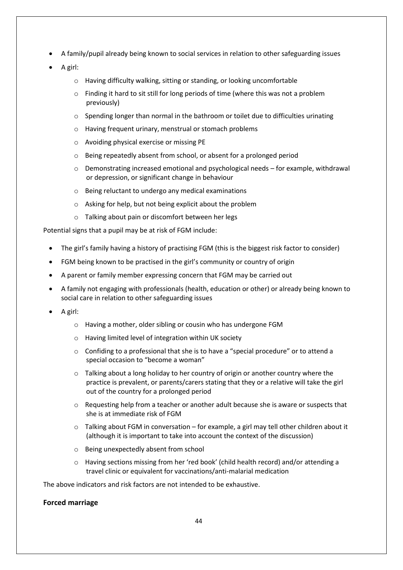- A family/pupil already being known to social services in relation to other safeguarding issues
- A girl:
	- o Having difficulty walking, sitting or standing, or looking uncomfortable
	- $\circ$  Finding it hard to sit still for long periods of time (where this was not a problem previously)
	- $\circ$  Spending longer than normal in the bathroom or toilet due to difficulties urinating
	- o Having frequent urinary, menstrual or stomach problems
	- o Avoiding physical exercise or missing PE
	- o Being repeatedly absent from school, or absent for a prolonged period
	- $\circ$  Demonstrating increased emotional and psychological needs for example, withdrawal or depression, or significant change in behaviour
	- o Being reluctant to undergo any medical examinations
	- o Asking for help, but not being explicit about the problem
	- o Talking about pain or discomfort between her legs

Potential signs that a pupil may be at risk of FGM include:

- The girl's family having a history of practising FGM (this is the biggest risk factor to consider)
- FGM being known to be practised in the girl's community or country of origin
- A parent or family member expressing concern that FGM may be carried out
- A family not engaging with professionals (health, education or other) or already being known to social care in relation to other safeguarding issues
- A girl:
	- o Having a mother, older sibling or cousin who has undergone FGM
	- o Having limited level of integration within UK society
	- $\circ$  Confiding to a professional that she is to have a "special procedure" or to attend a special occasion to "become a woman"
	- $\circ$  Talking about a long holiday to her country of origin or another country where the practice is prevalent, or parents/carers stating that they or a relative will take the girl out of the country for a prolonged period
	- $\circ$  Requesting help from a teacher or another adult because she is aware or suspects that she is at immediate risk of FGM
	- $\circ$  Talking about FGM in conversation for example, a girl may tell other children about it (although it is important to take into account the context of the discussion)
	- o Being unexpectedly absent from school
	- o Having sections missing from her 'red book' (child health record) and/or attending a travel clinic or equivalent for vaccinations/anti-malarial medication

The above indicators and risk factors are not intended to be exhaustive.

#### **Forced marriage**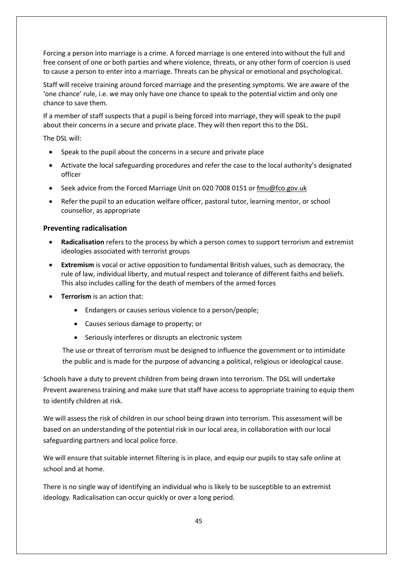Forcing a person into marriage is a crime. A forced marriage is one entered into without the full and free consent of one or both parties and where violence, threats, or any other form of coercion is used to cause a person to enter into a marriage. Threats can be physical or emotional and psychological.

Staff will receive training around forced marriage and the presenting symptoms. We are aware of the 'one chance' rule, i.e. we may only have one chance to speak to the potential victim and only one chance to save them.

If a member of staff suspects that a pupil is being forced into marriage, they will speak to the pupil about their concerns in a secure and private place. They will then report this to the DSL.

The DSL will:

- Speak to the pupil about the concerns in a secure and private place
- Activate the local safeguarding procedures and refer the case to the local authority's designated officer
- Seek advice from the Forced Marriage Unit on 020 7008 0151 o[r fmu@fco.gov.uk](mailto:fmu@fco.gov.uk)
- Refer the pupil to an education welfare officer, pastoral tutor, learning mentor, or school counsellor, as appropriate

#### **Preventing radicalisation**

- **Radicalisation** refers to the process by which a person comes to support terrorism and extremist ideologies associated with terrorist groups
- **Extremism** is vocal or active opposition to fundamental British values, such as democracy, the rule of law, individual liberty, and mutual respect and tolerance of different faiths and beliefs. This also includes calling for the death of members of the armed forces
- **Terrorism** is an action that:
	- Endangers or causes serious violence to a person/people;
	- Causes serious damage to property; or
	- Seriously interferes or disrupts an electronic system

The use or threat of terrorism must be designed to influence the government or to intimidate the public and is made for the purpose of advancing a political, religious or ideological cause.

Schools have a duty to prevent children from being drawn into terrorism. The DSL will undertake Prevent awareness training and make sure that staff have access to appropriate training to equip them to identify children at risk.

We will assess the risk of children in our school being drawn into terrorism. This assessment will be based on an understanding of the potential risk in our local area, in collaboration with our local safeguarding partners and local police force.

We will ensure that suitable internet filtering is in place, and equip our pupils to stay safe online at school and at home.

There is no single way of identifying an individual who is likely to be susceptible to an extremist ideology. Radicalisation can occur quickly or over a long period.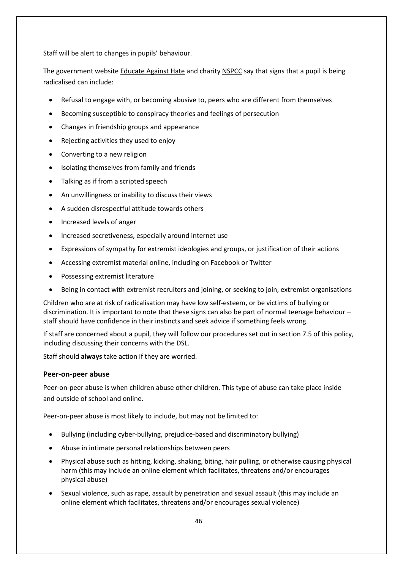Staff will be alert to changes in pupils' behaviour.

The government websit[e Educate Against](http://educateagainsthate.com/parents/what-are-the-warning-signs/) Hate and charity [NSPCC](https://www.nspcc.org.uk/what-you-can-do/report-abuse/dedicated-helplines/protecting-children-from-radicalisation/) say that signs that a pupil is being radicalised can include:

- Refusal to engage with, or becoming abusive to, peers who are different from themselves
- Becoming susceptible to conspiracy theories and feelings of persecution
- Changes in friendship groups and appearance
- Rejecting activities they used to enjoy
- Converting to a new religion
- Isolating themselves from family and friends
- Talking as if from a scripted speech
- An unwillingness or inability to discuss their views
- A sudden disrespectful attitude towards others
- Increased levels of anger
- Increased secretiveness, especially around internet use
- Expressions of sympathy for extremist ideologies and groups, or justification of their actions
- Accessing extremist material online, including on Facebook or Twitter
- Possessing extremist literature
- Being in contact with extremist recruiters and joining, or seeking to join, extremist organisations

Children who are at risk of radicalisation may have low self-esteem, or be victims of bullying or discrimination. It is important to note that these signs can also be part of normal teenage behaviour – staff should have confidence in their instincts and seek advice if something feels wrong.

If staff are concerned about a pupil, they will follow our procedures set out in section 7.5 of this policy, including discussing their concerns with the DSL.

Staff should **always** take action if they are worried.

## **Peer-on-peer abuse**

Peer-on-peer abuse is when children abuse other children. This type of abuse can take place inside and outside of school and online.

Peer-on-peer abuse is most likely to include, but may not be limited to:

- Bullying (including cyber-bullying, prejudice-based and discriminatory bullying)
- Abuse in intimate personal relationships between peers
- Physical abuse such as hitting, kicking, shaking, biting, hair pulling, or otherwise causing physical harm (this may include an online element which facilitates, threatens and/or encourages physical abuse)
- Sexual violence, such as rape, assault by penetration and sexual assault (this may include an online element which facilitates, threatens and/or encourages sexual violence)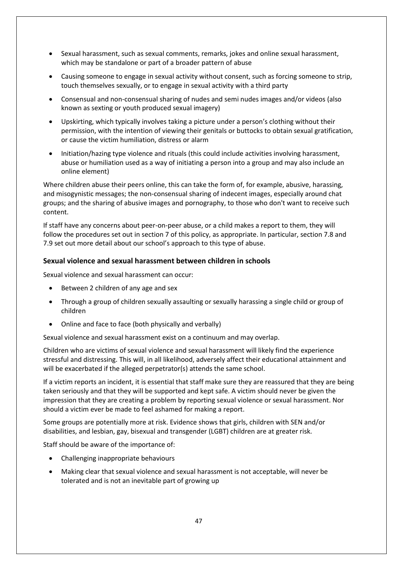- Sexual harassment, such as sexual comments, remarks, jokes and online sexual harassment, which may be standalone or part of a broader pattern of abuse
- Causing someone to engage in sexual activity without consent, such as forcing someone to strip, touch themselves sexually, or to engage in sexual activity with a third party
- Consensual and non-consensual sharing of nudes and semi nudes images and/or videos (also known as sexting or youth produced sexual imagery)
- Upskirting, which typically involves taking a picture under a person's clothing without their permission, with the intention of viewing their genitals or buttocks to obtain sexual gratification, or cause the victim humiliation, distress or alarm
- Initiation/hazing type violence and rituals (this could include activities involving harassment, abuse or humiliation used as a way of initiating a person into a group and may also include an online element)

Where children abuse their peers online, this can take the form of, for example, abusive, harassing, and misogynistic messages; the non-consensual sharing of indecent images, especially around chat groups; and the sharing of abusive images and pornography, to those who don't want to receive such content.

If staff have any concerns about peer-on-peer abuse, or a child makes a report to them, they will follow the procedures set out in section 7 of this policy, as appropriate. In particular, section 7.8 and 7.9 set out more detail about our school's approach to this type of abuse.

#### **Sexual violence and sexual harassment between children in schools**

Sexual violence and sexual harassment can occur:

- Between 2 children of any age and sex
- Through a group of children sexually assaulting or sexually harassing a single child or group of children
- Online and face to face (both physically and verbally)

Sexual violence and sexual harassment exist on a continuum and may overlap.

Children who are victims of sexual violence and sexual harassment will likely find the experience stressful and distressing. This will, in all likelihood, adversely affect their educational attainment and will be exacerbated if the alleged perpetrator(s) attends the same school.

If a victim reports an incident, it is essential that staff make sure they are reassured that they are being taken seriously and that they will be supported and kept safe. A victim should never be given the impression that they are creating a problem by reporting sexual violence or sexual harassment. Nor should a victim ever be made to feel ashamed for making a report.

Some groups are potentially more at risk. Evidence shows that girls, children with SEN and/or disabilities, and lesbian, gay, bisexual and transgender (LGBT) children are at greater risk.

Staff should be aware of the importance of:

- Challenging inappropriate behaviours
- Making clear that sexual violence and sexual harassment is not acceptable, will never be tolerated and is not an inevitable part of growing up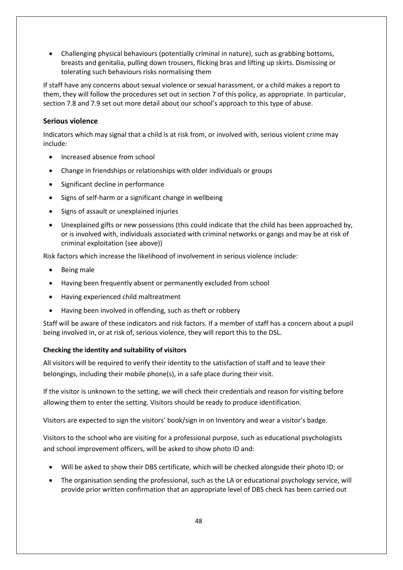• Challenging physical behaviours (potentially criminal in nature), such as grabbing bottoms, breasts and genitalia, pulling down trousers, flicking bras and lifting up skirts. Dismissing or tolerating such behaviours risks normalising them

If staff have any concerns about sexual violence or sexual harassment, or a child makes a report to them, they will follow the procedures set out in section 7 of this policy, as appropriate. In particular, section 7.8 and 7.9 set out more detail about our school's approach to this type of abuse.

## **Serious violence**

Indicators which may signal that a child is at risk from, or involved with, serious violent crime may include:

- Increased absence from school
- Change in friendships or relationships with older individuals or groups
- Significant decline in performance
- Signs of self-harm or a significant change in wellbeing
- Signs of assault or unexplained injuries
- Unexplained gifts or new possessions (this could indicate that the child has been approached by, or is involved with, individuals associated with criminal networks or gangs and may be at risk of criminal exploitation (see above))

Risk factors which increase the likelihood of involvement in serious violence include:

- Being male
- Having been frequently absent or permanently excluded from school
- Having experienced child maltreatment
- Having been involved in offending, such as theft or robbery

Staff will be aware of these indicators and risk factors. If a member of staff has a concern about a pupil being involved in, or at risk of, serious violence, they will report this to the DSL.

#### **Checking the identity and suitability of visitors**

All visitors will be required to verify their identity to the satisfaction of staff and to leave their belongings, including their mobile phone(s), in a safe place during their visit.

If the visitor is unknown to the setting, we will check their credentials and reason for visiting before allowing them to enter the setting. Visitors should be ready to produce identification.

Visitors are expected to sign the visitors' book/sign in on Inventory and wear a visitor's badge.

Visitors to the school who are visiting for a professional purpose, such as educational psychologists and school improvement officers, will be asked to show photo ID and:

- Will be asked to show their DBS certificate, which will be checked alongside their photo ID; or
- The organisation sending the professional, such as the LA or educational psychology service, will provide prior written confirmation that an appropriate level of DBS check has been carried out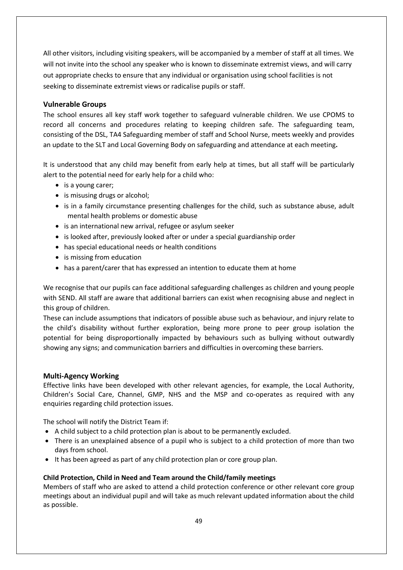All other visitors, including visiting speakers, will be accompanied by a member of staff at all times. We will not invite into the school any speaker who is known to disseminate extremist views, and will carry out appropriate checks to ensure that any individual or organisation using school facilities is not seeking to disseminate extremist views or radicalise pupils or staff.

## **Vulnerable Groups**

The school ensures all key staff work together to safeguard vulnerable children. We use CPOMS to record all concerns and procedures relating to keeping children safe. The safeguarding team, consisting of the DSL, TA4 Safeguarding member of staff and School Nurse, meets weekly and provides an update to the SLT and Local Governing Body on safeguarding and attendance at each meeting**.**

It is understood that any child may benefit from early help at times, but all staff will be particularly alert to the potential need for early help for a child who:

- is a young carer;
- is misusing drugs or alcohol;
- is in a family circumstance presenting challenges for the child, such as substance abuse, adult mental health problems or domestic abuse
- is an international new arrival, refugee or asylum seeker
- is looked after, previously looked after or under a special guardianship order
- has special educational needs or health conditions
- is missing from education
- has a parent/carer that has expressed an intention to educate them at home

We recognise that our pupils can face additional safeguarding challenges as children and young people with SEND. All staff are aware that additional barriers can exist when recognising abuse and neglect in this group of children.

These can include assumptions that indicators of possible abuse such as behaviour, and injury relate to the child's disability without further exploration, being more prone to peer group isolation the potential for being disproportionally impacted by behaviours such as bullying without outwardly showing any signs; and communication barriers and difficulties in overcoming these barriers.

#### **Multi-Agency Working**

Effective links have been developed with other relevant agencies, for example, the Local Authority, Children's Social Care, Channel, GMP, NHS and the MSP and co-operates as required with any enquiries regarding child protection issues.

The school will notify the District Team if:

- A child subject to a child protection plan is about to be permanently excluded.
- There is an unexplained absence of a pupil who is subject to a child protection of more than two days from school.
- It has been agreed as part of any child protection plan or core group plan.

#### **Child Protection, Child in Need and Team around the Child/family meetings**

Members of staff who are asked to attend a child protection conference or other relevant core group meetings about an individual pupil and will take as much relevant updated information about the child as possible.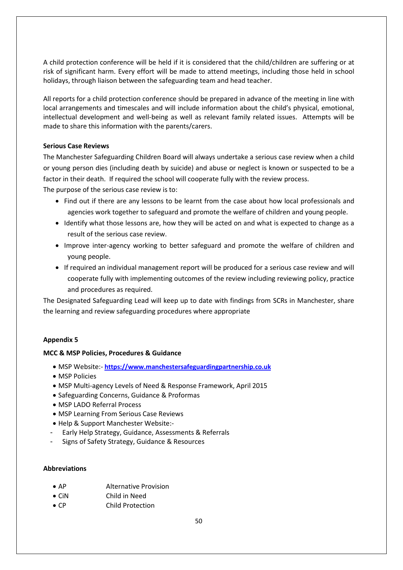A child protection conference will be held if it is considered that the child/children are suffering or at risk of significant harm. Every effort will be made to attend meetings, including those held in school holidays, through liaison between the safeguarding team and head teacher.

All reports for a child protection conference should be prepared in advance of the meeting in line with local arrangements and timescales and will include information about the child's physical, emotional, intellectual development and well-being as well as relevant family related issues. Attempts will be made to share this information with the parents/carers.

#### **Serious Case Reviews**

The Manchester Safeguarding Children Board will always undertake a serious case review when a child or young person dies (including death by suicide) and abuse or neglect is known or suspected to be a factor in their death. If required the school will cooperate fully with the review process.

The purpose of the serious case review is to:

- Find out if there are any lessons to be learnt from the case about how local professionals and agencies work together to safeguard and promote the welfare of children and young people.
- Identify what those lessons are, how they will be acted on and what is expected to change as a result of the serious case review.
- Improve inter-agency working to better safeguard and promote the welfare of children and young people.
- If required an individual management report will be produced for a serious case review and will cooperate fully with implementing outcomes of the review including reviewing policy, practice and procedures as required.

The Designated Safeguarding Lead will keep up to date with findings from SCRs in Manchester, share the learning and review safeguarding procedures where appropriate

#### **Appendix 5**

#### **MCC & MSP Policies, Procedures & Guidance**

- MSP Website:- **[https://www.manchestersafeguardingpartnership.co.uk](https://www.manchestersafeguardingpartnership.co.uk/)**
- MSP Policies
- MSP Multi-agency Levels of Need & Response Framework, April 2015
- Safeguarding Concerns, Guidance & Proformas
- MSP LADO Referral Process
- MSP Learning From Serious Case Reviews
- Help & Support Manchester Website:-
- Early Help Strategy, Guidance, Assessments & Referrals
- Signs of Safety Strategy, Guidance & Resources

#### **Abbreviations**

- AP Alternative Provision
- CiN Child in Need
- CP Child Protection